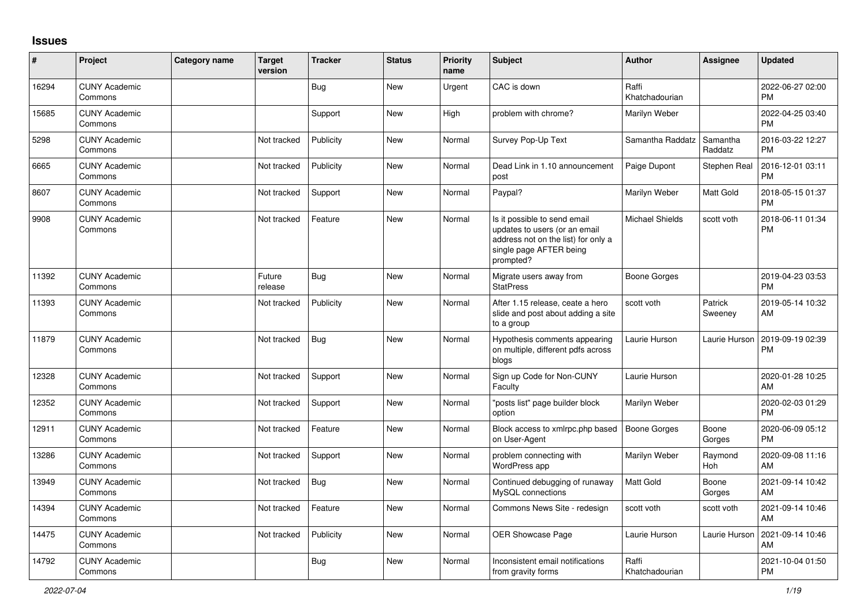## **Issues**

| ∦     | Project                         | <b>Category name</b> | <b>Target</b><br>version | <b>Tracker</b> | <b>Status</b> | <b>Priority</b><br>name | <b>Subject</b>                                                                                                                               | <b>Author</b>           | <b>Assignee</b>     | <b>Updated</b>                |
|-------|---------------------------------|----------------------|--------------------------|----------------|---------------|-------------------------|----------------------------------------------------------------------------------------------------------------------------------------------|-------------------------|---------------------|-------------------------------|
| 16294 | <b>CUNY Academic</b><br>Commons |                      |                          | Bug            | <b>New</b>    | Urgent                  | CAC is down                                                                                                                                  | Raffi<br>Khatchadourian |                     | 2022-06-27 02:00<br><b>PM</b> |
| 15685 | <b>CUNY Academic</b><br>Commons |                      |                          | Support        | <b>New</b>    | High                    | problem with chrome?                                                                                                                         | Marilyn Weber           |                     | 2022-04-25 03:40<br><b>PM</b> |
| 5298  | <b>CUNY Academic</b><br>Commons |                      | Not tracked              | Publicity      | <b>New</b>    | Normal                  | Survey Pop-Up Text                                                                                                                           | Samantha Raddatz        | Samantha<br>Raddatz | 2016-03-22 12:27<br>PM        |
| 6665  | <b>CUNY Academic</b><br>Commons |                      | Not tracked              | Publicity      | New           | Normal                  | Dead Link in 1.10 announcement<br>post                                                                                                       | Paige Dupont            | Stephen Real        | 2016-12-01 03:11<br><b>PM</b> |
| 8607  | <b>CUNY Academic</b><br>Commons |                      | Not tracked              | Support        | <b>New</b>    | Normal                  | Paypal?                                                                                                                                      | Marilyn Weber           | Matt Gold           | 2018-05-15 01:37<br><b>PM</b> |
| 9908  | <b>CUNY Academic</b><br>Commons |                      | Not tracked              | Feature        | <b>New</b>    | Normal                  | Is it possible to send email<br>updates to users (or an email<br>address not on the list) for only a<br>single page AFTER being<br>prompted? | <b>Michael Shields</b>  | scott voth          | 2018-06-11 01:34<br><b>PM</b> |
| 11392 | <b>CUNY Academic</b><br>Commons |                      | Future<br>release        | Bug            | <b>New</b>    | Normal                  | Migrate users away from<br><b>StatPress</b>                                                                                                  | Boone Gorges            |                     | 2019-04-23 03:53<br><b>PM</b> |
| 11393 | <b>CUNY Academic</b><br>Commons |                      | Not tracked              | Publicity      | <b>New</b>    | Normal                  | After 1.15 release, ceate a hero<br>slide and post about adding a site<br>to a group                                                         | scott voth              | Patrick<br>Sweeney  | 2019-05-14 10:32<br>AM        |
| 11879 | <b>CUNY Academic</b><br>Commons |                      | Not tracked              | Bug            | <b>New</b>    | Normal                  | Hypothesis comments appearing<br>on multiple, different pdfs across<br>blogs                                                                 | Laurie Hurson           | Laurie Hurson       | 2019-09-19 02:39<br><b>PM</b> |
| 12328 | <b>CUNY Academic</b><br>Commons |                      | Not tracked              | Support        | <b>New</b>    | Normal                  | Sign up Code for Non-CUNY<br>Faculty                                                                                                         | Laurie Hurson           |                     | 2020-01-28 10:25<br>AM        |
| 12352 | <b>CUNY Academic</b><br>Commons |                      | Not tracked              | Support        | <b>New</b>    | Normal                  | "posts list" page builder block<br>option                                                                                                    | Marilyn Weber           |                     | 2020-02-03 01:29<br><b>PM</b> |
| 12911 | <b>CUNY Academic</b><br>Commons |                      | Not tracked              | Feature        | <b>New</b>    | Normal                  | Block access to xmlrpc.php based<br>on User-Agent                                                                                            | <b>Boone Gorges</b>     | Boone<br>Gorges     | 2020-06-09 05:12<br><b>PM</b> |
| 13286 | <b>CUNY Academic</b><br>Commons |                      | Not tracked              | Support        | <b>New</b>    | Normal                  | problem connecting with<br>WordPress app                                                                                                     | Marilyn Weber           | Raymond<br>Hoh      | 2020-09-08 11:16<br><b>AM</b> |
| 13949 | <b>CUNY Academic</b><br>Commons |                      | Not tracked              | <b>Bug</b>     | New           | Normal                  | Continued debugging of runaway<br>MySQL connections                                                                                          | Matt Gold               | Boone<br>Gorges     | 2021-09-14 10:42<br>AM        |
| 14394 | <b>CUNY Academic</b><br>Commons |                      | Not tracked              | Feature        | New           | Normal                  | Commons News Site - redesign                                                                                                                 | scott voth              | scott voth          | 2021-09-14 10:46<br>AM        |
| 14475 | <b>CUNY Academic</b><br>Commons |                      | Not tracked              | Publicity      | New           | Normal                  | <b>OER Showcase Page</b>                                                                                                                     | Laurie Hurson           | Laurie Hurson       | 2021-09-14 10:46<br>AM        |
| 14792 | <b>CUNY Academic</b><br>Commons |                      |                          | <b>Bug</b>     | <b>New</b>    | Normal                  | Inconsistent email notifications<br>from gravity forms                                                                                       | Raffi<br>Khatchadourian |                     | 2021-10-04 01:50<br><b>PM</b> |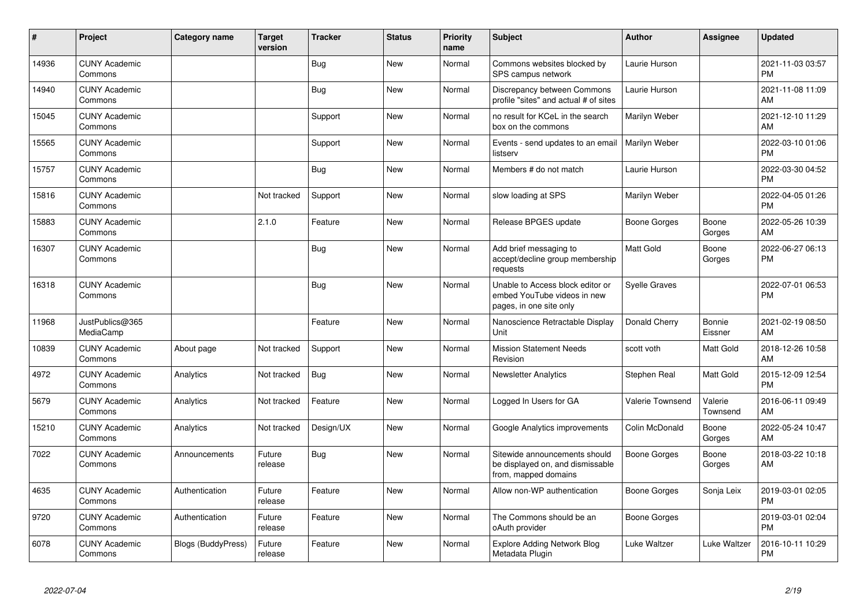| #     | Project                         | <b>Category name</b> | <b>Target</b><br>version | <b>Tracker</b> | <b>Status</b> | <b>Priority</b><br>name | <b>Subject</b>                                                                             | <b>Author</b>        | Assignee            | <b>Updated</b>                |
|-------|---------------------------------|----------------------|--------------------------|----------------|---------------|-------------------------|--------------------------------------------------------------------------------------------|----------------------|---------------------|-------------------------------|
| 14936 | <b>CUNY Academic</b><br>Commons |                      |                          | <b>Bug</b>     | <b>New</b>    | Normal                  | Commons websites blocked by<br>SPS campus network                                          | Laurie Hurson        |                     | 2021-11-03 03:57<br><b>PM</b> |
| 14940 | <b>CUNY Academic</b><br>Commons |                      |                          | <b>Bug</b>     | <b>New</b>    | Normal                  | Discrepancy between Commons<br>profile "sites" and actual # of sites                       | Laurie Hurson        |                     | 2021-11-08 11:09<br>AM        |
| 15045 | <b>CUNY Academic</b><br>Commons |                      |                          | Support        | <b>New</b>    | Normal                  | no result for KCeL in the search<br>box on the commons                                     | Marilyn Weber        |                     | 2021-12-10 11:29<br>AM        |
| 15565 | <b>CUNY Academic</b><br>Commons |                      |                          | Support        | <b>New</b>    | Normal                  | Events - send updates to an email<br>listserv                                              | Marilyn Weber        |                     | 2022-03-10 01:06<br><b>PM</b> |
| 15757 | <b>CUNY Academic</b><br>Commons |                      |                          | Bug            | <b>New</b>    | Normal                  | Members # do not match                                                                     | Laurie Hurson        |                     | 2022-03-30 04:52<br><b>PM</b> |
| 15816 | <b>CUNY Academic</b><br>Commons |                      | Not tracked              | Support        | <b>New</b>    | Normal                  | slow loading at SPS                                                                        | Marilyn Weber        |                     | 2022-04-05 01:26<br><b>PM</b> |
| 15883 | <b>CUNY Academic</b><br>Commons |                      | 2.1.0                    | Feature        | <b>New</b>    | Normal                  | Release BPGES update                                                                       | Boone Gorges         | Boone<br>Gorges     | 2022-05-26 10:39<br>AM        |
| 16307 | <b>CUNY Academic</b><br>Commons |                      |                          | <b>Bug</b>     | <b>New</b>    | Normal                  | Add brief messaging to<br>accept/decline group membership<br>requests                      | <b>Matt Gold</b>     | Boone<br>Gorges     | 2022-06-27 06:13<br><b>PM</b> |
| 16318 | <b>CUNY Academic</b><br>Commons |                      |                          | Bug            | <b>New</b>    | Normal                  | Unable to Access block editor or<br>embed YouTube videos in new<br>pages, in one site only | <b>Syelle Graves</b> |                     | 2022-07-01 06:53<br><b>PM</b> |
| 11968 | JustPublics@365<br>MediaCamp    |                      |                          | Feature        | <b>New</b>    | Normal                  | Nanoscience Retractable Display<br>Unit                                                    | Donald Cherry        | Bonnie<br>Eissner   | 2021-02-19 08:50<br>AM        |
| 10839 | <b>CUNY Academic</b><br>Commons | About page           | Not tracked              | Support        | <b>New</b>    | Normal                  | <b>Mission Statement Needs</b><br>Revision                                                 | scott voth           | Matt Gold           | 2018-12-26 10:58<br>AM        |
| 4972  | <b>CUNY Academic</b><br>Commons | Analytics            | Not tracked              | Bug            | <b>New</b>    | Normal                  | <b>Newsletter Analytics</b>                                                                | Stephen Real         | Matt Gold           | 2015-12-09 12:54<br><b>PM</b> |
| 5679  | <b>CUNY Academic</b><br>Commons | Analytics            | Not tracked              | Feature        | <b>New</b>    | Normal                  | Logged In Users for GA                                                                     | Valerie Townsend     | Valerie<br>Townsend | 2016-06-11 09:49<br>AM        |
| 15210 | <b>CUNY Academic</b><br>Commons | Analytics            | Not tracked              | Design/UX      | <b>New</b>    | Normal                  | Google Analytics improvements                                                              | Colin McDonald       | Boone<br>Gorges     | 2022-05-24 10:47<br>AM        |
| 7022  | <b>CUNY Academic</b><br>Commons | Announcements        | Future<br>release        | <b>Bug</b>     | New           | Normal                  | Sitewide announcements should<br>be displayed on, and dismissable<br>from, mapped domains  | Boone Gorges         | Boone<br>Gorges     | 2018-03-22 10:18<br>AM        |
| 4635  | <b>CUNY Academic</b><br>Commons | Authentication       | Future<br>release        | Feature        | <b>New</b>    | Normal                  | Allow non-WP authentication                                                                | Boone Gorges         | Sonja Leix          | 2019-03-01 02:05<br><b>PM</b> |
| 9720  | <b>CUNY Academic</b><br>Commons | Authentication       | Future<br>release        | Feature        | <b>New</b>    | Normal                  | The Commons should be an<br>oAuth provider                                                 | Boone Gorges         |                     | 2019-03-01 02:04<br><b>PM</b> |
| 6078  | <b>CUNY Academic</b><br>Commons | Blogs (BuddyPress)   | Future<br>release        | Feature        | <b>New</b>    | Normal                  | <b>Explore Adding Network Blog</b><br>Metadata Plugin                                      | Luke Waltzer         | Luke Waltzer        | 2016-10-11 10:29<br><b>PM</b> |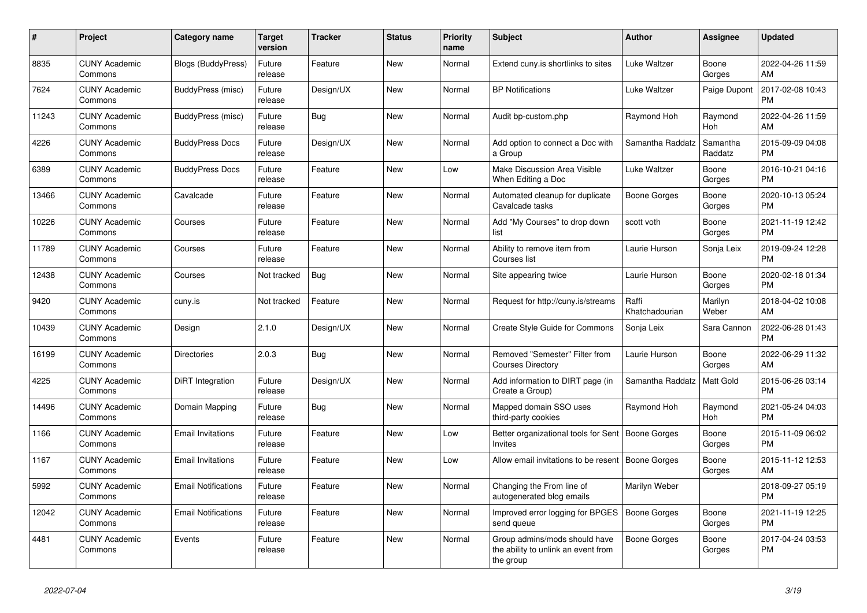| #     | <b>Project</b>                  | Category name              | Target<br>version | <b>Tracker</b> | <b>Status</b> | Priority<br>name | <b>Subject</b>                                                                    | <b>Author</b>           | Assignee            | <b>Updated</b>                |
|-------|---------------------------------|----------------------------|-------------------|----------------|---------------|------------------|-----------------------------------------------------------------------------------|-------------------------|---------------------|-------------------------------|
| 8835  | <b>CUNY Academic</b><br>Commons | Blogs (BuddyPress)         | Future<br>release | Feature        | New           | Normal           | Extend cuny.is shortlinks to sites                                                | Luke Waltzer            | Boone<br>Gorges     | 2022-04-26 11:59<br>AM        |
| 7624  | <b>CUNY Academic</b><br>Commons | BuddyPress (misc)          | Future<br>release | Design/UX      | New           | Normal           | <b>BP Notifications</b>                                                           | Luke Waltzer            | Paige Dupont        | 2017-02-08 10:43<br><b>PM</b> |
| 11243 | <b>CUNY Academic</b><br>Commons | BuddyPress (misc)          | Future<br>release | Bug            | New           | Normal           | Audit bp-custom.php                                                               | Raymond Hoh             | Raymond<br>Hoh      | 2022-04-26 11:59<br>AM        |
| 4226  | <b>CUNY Academic</b><br>Commons | <b>BuddyPress Docs</b>     | Future<br>release | Design/UX      | <b>New</b>    | Normal           | Add option to connect a Doc with<br>a Group                                       | Samantha Raddatz        | Samantha<br>Raddatz | 2015-09-09 04:08<br><b>PM</b> |
| 6389  | <b>CUNY Academic</b><br>Commons | <b>BuddyPress Docs</b>     | Future<br>release | Feature        | New           | Low              | Make Discussion Area Visible<br>When Editing a Doc                                | Luke Waltzer            | Boone<br>Gorges     | 2016-10-21 04:16<br><b>PM</b> |
| 13466 | <b>CUNY Academic</b><br>Commons | Cavalcade                  | Future<br>release | Feature        | New           | Normal           | Automated cleanup for duplicate<br>Cavalcade tasks                                | Boone Gorges            | Boone<br>Gorges     | 2020-10-13 05:24<br><b>PM</b> |
| 10226 | <b>CUNY Academic</b><br>Commons | Courses                    | Future<br>release | Feature        | <b>New</b>    | Normal           | Add "My Courses" to drop down<br>list                                             | scott voth              | Boone<br>Gorges     | 2021-11-19 12:42<br><b>PM</b> |
| 11789 | <b>CUNY Academic</b><br>Commons | Courses                    | Future<br>release | Feature        | <b>New</b>    | Normal           | Ability to remove item from<br>Courses list                                       | Laurie Hurson           | Sonja Leix          | 2019-09-24 12:28<br>PM.       |
| 12438 | <b>CUNY Academic</b><br>Commons | Courses                    | Not tracked       | <b>Bug</b>     | New           | Normal           | Site appearing twice                                                              | Laurie Hurson           | Boone<br>Gorges     | 2020-02-18 01:34<br><b>PM</b> |
| 9420  | <b>CUNY Academic</b><br>Commons | cuny.is                    | Not tracked       | Feature        | New           | Normal           | Request for http://cuny.is/streams                                                | Raffi<br>Khatchadourian | Marilyn<br>Weber    | 2018-04-02 10:08<br><b>AM</b> |
| 10439 | <b>CUNY Academic</b><br>Commons | Design                     | 2.1.0             | Design/UX      | <b>New</b>    | Normal           | Create Style Guide for Commons                                                    | Sonja Leix              | Sara Cannon         | 2022-06-28 01:43<br><b>PM</b> |
| 16199 | <b>CUNY Academic</b><br>Commons | <b>Directories</b>         | 2.0.3             | Bug            | New           | Normal           | Removed "Semester" Filter from<br><b>Courses Directory</b>                        | Laurie Hurson           | Boone<br>Gorges     | 2022-06-29 11:32<br><b>AM</b> |
| 4225  | <b>CUNY Academic</b><br>Commons | DiRT Integration           | Future<br>release | Design/UX      | New           | Normal           | Add information to DIRT page (in<br>Create a Group)                               | Samantha Raddatz        | Matt Gold           | 2015-06-26 03:14<br><b>PM</b> |
| 14496 | <b>CUNY Academic</b><br>Commons | Domain Mapping             | Future<br>release | <b>Bug</b>     | <b>New</b>    | Normal           | Mapped domain SSO uses<br>third-party cookies                                     | Raymond Hoh             | Raymond<br>Hoh      | 2021-05-24 04:03<br><b>PM</b> |
| 1166  | <b>CUNY Academic</b><br>Commons | <b>Email Invitations</b>   | Future<br>release | Feature        | <b>New</b>    | Low              | Better organizational tools for Sent<br><b>Invites</b>                            | Boone Gorges            | Boone<br>Gorges     | 2015-11-09 06:02<br><b>PM</b> |
| 1167  | <b>CUNY Academic</b><br>Commons | <b>Email Invitations</b>   | Future<br>release | Feature        | New           | Low              | Allow email invitations to be resent                                              | Boone Gorges            | Boone<br>Gorges     | 2015-11-12 12:53<br>AM        |
| 5992  | <b>CUNY Academic</b><br>Commons | <b>Email Notifications</b> | Future<br>release | Feature        | <b>New</b>    | Normal           | Changing the From line of<br>autogenerated blog emails                            | Marilyn Weber           |                     | 2018-09-27 05:19<br><b>PM</b> |
| 12042 | <b>CUNY Academic</b><br>Commons | <b>Email Notifications</b> | Future<br>release | Feature        | <b>New</b>    | Normal           | Improved error logging for BPGES<br>send queue                                    | <b>Boone Gorges</b>     | Boone<br>Gorges     | 2021-11-19 12:25<br><b>PM</b> |
| 4481  | <b>CUNY Academic</b><br>Commons | Events                     | Future<br>release | Feature        | <b>New</b>    | Normal           | Group admins/mods should have<br>the ability to unlink an event from<br>the group | Boone Gorges            | Boone<br>Gorges     | 2017-04-24 03:53<br><b>PM</b> |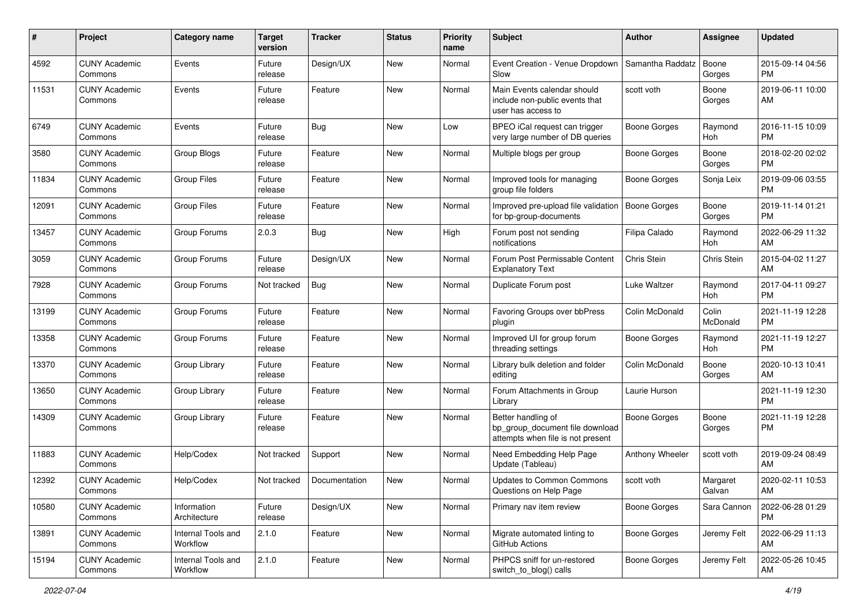| #     | Project                         | <b>Category name</b>           | <b>Target</b><br>version | <b>Tracker</b> | <b>Status</b> | <b>Priority</b><br>name | Subject                                                                                    | Author              | <b>Assignee</b>    | <b>Updated</b>                |
|-------|---------------------------------|--------------------------------|--------------------------|----------------|---------------|-------------------------|--------------------------------------------------------------------------------------------|---------------------|--------------------|-------------------------------|
| 4592  | <b>CUNY Academic</b><br>Commons | Events                         | Future<br>release        | Design/UX      | <b>New</b>    | Normal                  | Event Creation - Venue Dropdown<br>Slow                                                    | Samantha Raddatz    | Boone<br>Gorges    | 2015-09-14 04:56<br><b>PM</b> |
| 11531 | <b>CUNY Academic</b><br>Commons | Events                         | Future<br>release        | Feature        | New           | Normal                  | Main Events calendar should<br>include non-public events that<br>user has access to        | scott voth          | Boone<br>Gorges    | 2019-06-11 10:00<br>AM        |
| 6749  | <b>CUNY Academic</b><br>Commons | Events                         | Future<br>release        | Bug            | New           | Low                     | BPEO iCal request can trigger<br>very large number of DB queries                           | <b>Boone Gorges</b> | Raymond<br>Hoh     | 2016-11-15 10:09<br><b>PM</b> |
| 3580  | <b>CUNY Academic</b><br>Commons | Group Blogs                    | Future<br>release        | Feature        | <b>New</b>    | Normal                  | Multiple blogs per group                                                                   | Boone Gorges        | Boone<br>Gorges    | 2018-02-20 02:02<br><b>PM</b> |
| 11834 | <b>CUNY Academic</b><br>Commons | <b>Group Files</b>             | Future<br>release        | Feature        | <b>New</b>    | Normal                  | Improved tools for managing<br>group file folders                                          | Boone Gorges        | Sonja Leix         | 2019-09-06 03:55<br><b>PM</b> |
| 12091 | <b>CUNY Academic</b><br>Commons | <b>Group Files</b>             | Future<br>release        | Feature        | <b>New</b>    | Normal                  | Improved pre-upload file validation<br>for bp-group-documents                              | Boone Gorges        | Boone<br>Gorges    | 2019-11-14 01:21<br><b>PM</b> |
| 13457 | <b>CUNY Academic</b><br>Commons | Group Forums                   | 2.0.3                    | Bug            | New           | High                    | Forum post not sending<br>notifications                                                    | Filipa Calado       | Raymond<br>Hoh     | 2022-06-29 11:32<br>AM        |
| 3059  | <b>CUNY Academic</b><br>Commons | Group Forums                   | Future<br>release        | Design/UX      | New           | Normal                  | Forum Post Permissable Content<br><b>Explanatory Text</b>                                  | Chris Stein         | Chris Stein        | 2015-04-02 11:27<br>AM        |
| 7928  | <b>CUNY Academic</b><br>Commons | Group Forums                   | Not tracked              | Bug            | <b>New</b>    | Normal                  | Duplicate Forum post                                                                       | Luke Waltzer        | Raymond<br>Hoh     | 2017-04-11 09:27<br><b>PM</b> |
| 13199 | <b>CUNY Academic</b><br>Commons | Group Forums                   | Future<br>release        | Feature        | New           | Normal                  | Favoring Groups over bbPress<br>plugin                                                     | Colin McDonald      | Colin<br>McDonald  | 2021-11-19 12:28<br><b>PM</b> |
| 13358 | <b>CUNY Academic</b><br>Commons | Group Forums                   | Future<br>release        | Feature        | <b>New</b>    | Normal                  | Improved UI for group forum<br>threading settings                                          | Boone Gorges        | Raymond<br>Hoh     | 2021-11-19 12:27<br><b>PM</b> |
| 13370 | <b>CUNY Academic</b><br>Commons | Group Library                  | Future<br>release        | Feature        | <b>New</b>    | Normal                  | Library bulk deletion and folder<br>editing                                                | Colin McDonald      | Boone<br>Gorges    | 2020-10-13 10:41<br>AM        |
| 13650 | <b>CUNY Academic</b><br>Commons | Group Library                  | Future<br>release        | Feature        | <b>New</b>    | Normal                  | Forum Attachments in Group<br>Library                                                      | Laurie Hurson       |                    | 2021-11-19 12:30<br><b>PM</b> |
| 14309 | <b>CUNY Academic</b><br>Commons | Group Library                  | Future<br>release        | Feature        | New           | Normal                  | Better handling of<br>bp group document file download<br>attempts when file is not present | <b>Boone Gorges</b> | Boone<br>Gorges    | 2021-11-19 12:28<br><b>PM</b> |
| 11883 | <b>CUNY Academic</b><br>Commons | Help/Codex                     | Not tracked              | Support        | New           | Normal                  | Need Embedding Help Page<br>Update (Tableau)                                               | Anthony Wheeler     | scott voth         | 2019-09-24 08:49<br>AM        |
| 12392 | <b>CUNY Academic</b><br>Commons | Help/Codex                     | Not tracked              | Documentation  | <b>New</b>    | Normal                  | Updates to Common Commons<br>Questions on Help Page                                        | scott voth          | Margaret<br>Galvan | 2020-02-11 10:53<br>AM        |
| 10580 | <b>CUNY Academic</b><br>Commons | Information<br>Architecture    | Future<br>release        | Design/UX      | New           | Normal                  | Primary nav item review                                                                    | Boone Gorges        | Sara Cannon        | 2022-06-28 01:29<br><b>PM</b> |
| 13891 | <b>CUNY Academic</b><br>Commons | Internal Tools and<br>Workflow | 2.1.0                    | Feature        | New           | Normal                  | Migrate automated linting to<br>GitHub Actions                                             | Boone Gorges        | Jeremy Felt        | 2022-06-29 11:13<br>AM        |
| 15194 | <b>CUNY Academic</b><br>Commons | Internal Tools and<br>Workflow | 2.1.0                    | Feature        | New           | Normal                  | PHPCS sniff for un-restored<br>switch_to_blog() calls                                      | Boone Gorges        | Jeremy Felt        | 2022-05-26 10:45<br>AM        |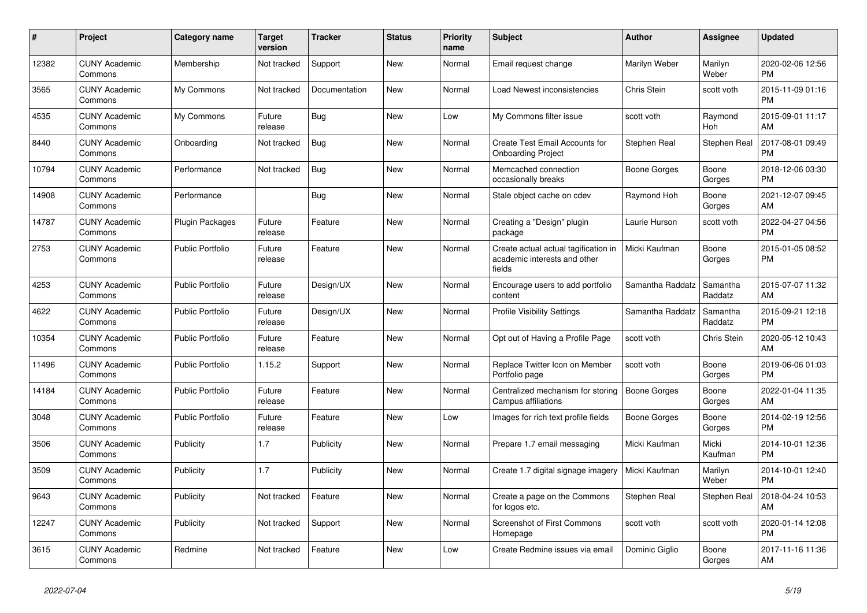| $\#$  | Project                         | <b>Category name</b>    | <b>Target</b><br>version | <b>Tracker</b> | <b>Status</b> | <b>Priority</b><br>name | <b>Subject</b>                                                                 | <b>Author</b>    | Assignee            | <b>Updated</b>                |
|-------|---------------------------------|-------------------------|--------------------------|----------------|---------------|-------------------------|--------------------------------------------------------------------------------|------------------|---------------------|-------------------------------|
| 12382 | <b>CUNY Academic</b><br>Commons | Membership              | Not tracked              | Support        | <b>New</b>    | Normal                  | Email request change                                                           | Marilyn Weber    | Marilyn<br>Weber    | 2020-02-06 12:56<br><b>PM</b> |
| 3565  | <b>CUNY Academic</b><br>Commons | My Commons              | Not tracked              | Documentation  | <b>New</b>    | Normal                  | Load Newest inconsistencies                                                    | Chris Stein      | scott voth          | 2015-11-09 01:16<br><b>PM</b> |
| 4535  | <b>CUNY Academic</b><br>Commons | My Commons              | Future<br>release        | Bug            | New           | Low                     | My Commons filter issue                                                        | scott voth       | Raymond<br>Hoh      | 2015-09-01 11:17<br>AM        |
| 8440  | <b>CUNY Academic</b><br>Commons | Onboarding              | Not tracked              | Bug            | <b>New</b>    | Normal                  | Create Test Email Accounts for<br><b>Onboarding Project</b>                    | Stephen Real     | Stephen Real        | 2017-08-01 09:49<br><b>PM</b> |
| 10794 | <b>CUNY Academic</b><br>Commons | Performance             | Not tracked              | <b>Bug</b>     | <b>New</b>    | Normal                  | Memcached connection<br>occasionally breaks                                    | Boone Gorges     | Boone<br>Gorges     | 2018-12-06 03:30<br><b>PM</b> |
| 14908 | <b>CUNY Academic</b><br>Commons | Performance             |                          | Bug            | New           | Normal                  | Stale object cache on cdev                                                     | Raymond Hoh      | Boone<br>Gorges     | 2021-12-07 09:45<br>AM        |
| 14787 | <b>CUNY Academic</b><br>Commons | <b>Plugin Packages</b>  | Future<br>release        | Feature        | <b>New</b>    | Normal                  | Creating a "Design" plugin<br>package                                          | Laurie Hurson    | scott voth          | 2022-04-27 04:56<br><b>PM</b> |
| 2753  | <b>CUNY Academic</b><br>Commons | <b>Public Portfolio</b> | Future<br>release        | Feature        | <b>New</b>    | Normal                  | Create actual actual tagification in<br>academic interests and other<br>fields | Micki Kaufman    | Boone<br>Gorges     | 2015-01-05 08:52<br><b>PM</b> |
| 4253  | <b>CUNY Academic</b><br>Commons | <b>Public Portfolio</b> | Future<br>release        | Design/UX      | New           | Normal                  | Encourage users to add portfolio<br>content                                    | Samantha Raddatz | Samantha<br>Raddatz | 2015-07-07 11:32<br>AM        |
| 4622  | <b>CUNY Academic</b><br>Commons | <b>Public Portfolio</b> | Future<br>release        | Design/UX      | <b>New</b>    | Normal                  | <b>Profile Visibility Settings</b>                                             | Samantha Raddatz | Samantha<br>Raddatz | 2015-09-21 12:18<br><b>PM</b> |
| 10354 | <b>CUNY Academic</b><br>Commons | <b>Public Portfolio</b> | Future<br>release        | Feature        | <b>New</b>    | Normal                  | Opt out of Having a Profile Page                                               | scott voth       | <b>Chris Stein</b>  | 2020-05-12 10:43<br>AM        |
| 11496 | <b>CUNY Academic</b><br>Commons | <b>Public Portfolio</b> | 1.15.2                   | Support        | New           | Normal                  | Replace Twitter Icon on Member<br>Portfolio page                               | scott voth       | Boone<br>Gorges     | 2019-06-06 01:03<br><b>PM</b> |
| 14184 | <b>CUNY Academic</b><br>Commons | <b>Public Portfolio</b> | Future<br>release        | Feature        | <b>New</b>    | Normal                  | Centralized mechanism for storing<br>Campus affiliations                       | Boone Gorges     | Boone<br>Gorges     | 2022-01-04 11:35<br>AM        |
| 3048  | <b>CUNY Academic</b><br>Commons | <b>Public Portfolio</b> | Future<br>release        | Feature        | <b>New</b>    | Low                     | Images for rich text profile fields                                            | Boone Gorges     | Boone<br>Gorges     | 2014-02-19 12:56<br><b>PM</b> |
| 3506  | <b>CUNY Academic</b><br>Commons | Publicity               | 1.7                      | Publicity      | New           | Normal                  | Prepare 1.7 email messaging                                                    | Micki Kaufman    | Micki<br>Kaufman    | 2014-10-01 12:36<br><b>PM</b> |
| 3509  | <b>CUNY Academic</b><br>Commons | Publicity               | 1.7                      | Publicity      | <b>New</b>    | Normal                  | Create 1.7 digital signage imagery                                             | Micki Kaufman    | Marilyn<br>Weber    | 2014-10-01 12:40<br><b>PM</b> |
| 9643  | <b>CUNY Academic</b><br>Commons | Publicity               | Not tracked              | Feature        | <b>New</b>    | Normal                  | Create a page on the Commons<br>for logos etc.                                 | Stephen Real     | Stephen Real        | 2018-04-24 10:53<br>AM        |
| 12247 | <b>CUNY Academic</b><br>Commons | Publicity               | Not tracked              | Support        | New           | Normal                  | Screenshot of First Commons<br>Homepage                                        | scott voth       | scott voth          | 2020-01-14 12:08<br><b>PM</b> |
| 3615  | <b>CUNY Academic</b><br>Commons | Redmine                 | Not tracked              | Feature        | <b>New</b>    | Low                     | Create Redmine issues via email                                                | Dominic Giglio   | Boone<br>Gorges     | 2017-11-16 11:36<br>AM        |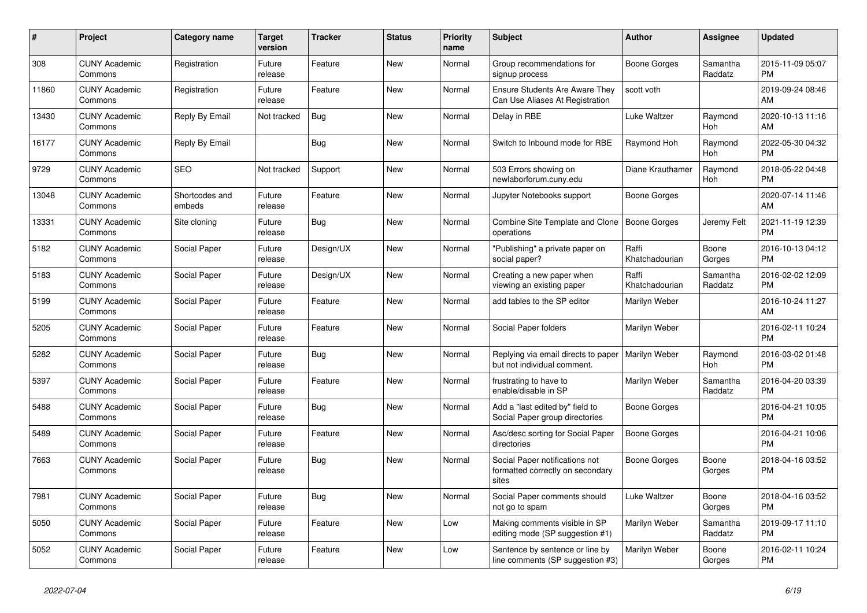| $\pmb{\#}$ | <b>Project</b>                  | <b>Category name</b>     | <b>Target</b><br>version | <b>Tracker</b> | <b>Status</b> | <b>Priority</b><br>name | <b>Subject</b>                                                              | <b>Author</b>           | Assignee              | <b>Updated</b>                |
|------------|---------------------------------|--------------------------|--------------------------|----------------|---------------|-------------------------|-----------------------------------------------------------------------------|-------------------------|-----------------------|-------------------------------|
| 308        | <b>CUNY Academic</b><br>Commons | Registration             | Future<br>release        | Feature        | New           | Normal                  | Group recommendations for<br>signup process                                 | Boone Gorges            | Samantha<br>Raddatz   | 2015-11-09 05:07<br><b>PM</b> |
| 11860      | <b>CUNY Academic</b><br>Commons | Registration             | Future<br>release        | Feature        | New           | Normal                  | <b>Ensure Students Are Aware They</b><br>Can Use Aliases At Registration    | scott voth              |                       | 2019-09-24 08:46<br>AM        |
| 13430      | <b>CUNY Academic</b><br>Commons | Reply By Email           | Not tracked              | <b>Bug</b>     | New           | Normal                  | Delay in RBE                                                                | Luke Waltzer            | Raymond<br>Hoh        | 2020-10-13 11:16<br>AM        |
| 16177      | <b>CUNY Academic</b><br>Commons | Reply By Email           |                          | <b>Bug</b>     | <b>New</b>    | Normal                  | Switch to Inbound mode for RBE                                              | Raymond Hoh             | Raymond<br>Hoh        | 2022-05-30 04:32<br><b>PM</b> |
| 9729       | <b>CUNY Academic</b><br>Commons | <b>SEO</b>               | Not tracked              | Support        | New           | Normal                  | 503 Errors showing on<br>newlaborforum.cuny.edu                             | Diane Krauthamer        | Raymond<br>Hoh        | 2018-05-22 04:48<br><b>PM</b> |
| 13048      | <b>CUNY Academic</b><br>Commons | Shortcodes and<br>embeds | Future<br>release        | Feature        | New           | Normal                  | Jupyter Notebooks support                                                   | Boone Gorges            |                       | 2020-07-14 11:46<br>AM        |
| 13331      | <b>CUNY Academic</b><br>Commons | Site cloning             | Future<br>release        | Bug            | <b>New</b>    | Normal                  | Combine Site Template and Clone<br>operations                               | Boone Gorges            | Jeremy Felt           | 2021-11-19 12:39<br><b>PM</b> |
| 5182       | <b>CUNY Academic</b><br>Commons | Social Paper             | Future<br>release        | Design/UX      | <b>New</b>    | Normal                  | "Publishing" a private paper on<br>social paper?                            | Raffi<br>Khatchadourian | Boone<br>Gorges       | 2016-10-13 04:12<br><b>PM</b> |
| 5183       | <b>CUNY Academic</b><br>Commons | Social Paper             | Future<br>release        | Design/UX      | New           | Normal                  | Creating a new paper when<br>viewing an existing paper                      | Raffi<br>Khatchadourian | Samantha<br>Raddatz   | 2016-02-02 12:09<br><b>PM</b> |
| 5199       | <b>CUNY Academic</b><br>Commons | Social Paper             | Future<br>release        | Feature        | New           | Normal                  | add tables to the SP editor                                                 | Marilyn Weber           |                       | 2016-10-24 11:27<br>AM        |
| 5205       | <b>CUNY Academic</b><br>Commons | Social Paper             | Future<br>release        | Feature        | <b>New</b>    | Normal                  | Social Paper folders                                                        | Marilyn Weber           |                       | 2016-02-11 10:24<br><b>PM</b> |
| 5282       | <b>CUNY Academic</b><br>Commons | Social Paper             | Future<br>release        | <b>Bug</b>     | <b>New</b>    | Normal                  | Replying via email directs to paper<br>but not individual comment.          | Marilyn Weber           | Raymond<br><b>Hoh</b> | 2016-03-02 01:48<br><b>PM</b> |
| 5397       | <b>CUNY Academic</b><br>Commons | Social Paper             | Future<br>release        | Feature        | New           | Normal                  | frustrating to have to<br>enable/disable in SP                              | Marilyn Weber           | Samantha<br>Raddatz   | 2016-04-20 03:39<br><b>PM</b> |
| 5488       | <b>CUNY Academic</b><br>Commons | Social Paper             | Future<br>release        | Bug            | New           | Normal                  | Add a "last edited by" field to<br>Social Paper group directories           | Boone Gorges            |                       | 2016-04-21 10:05<br><b>PM</b> |
| 5489       | <b>CUNY Academic</b><br>Commons | Social Paper             | Future<br>release        | Feature        | <b>New</b>    | Normal                  | Asc/desc sorting for Social Paper<br>directories                            | <b>Boone Gorges</b>     |                       | 2016-04-21 10:06<br><b>PM</b> |
| 7663       | <b>CUNY Academic</b><br>Commons | Social Paper             | Future<br>release        | Bug            | <b>New</b>    | Normal                  | Social Paper notifications not<br>formatted correctly on secondary<br>sites | Boone Gorges            | Boone<br>Gorges       | 2018-04-16 03:52<br><b>PM</b> |
| 7981       | <b>CUNY Academic</b><br>Commons | Social Paper             | Future<br>release        | Bug            | <b>New</b>    | Normal                  | Social Paper comments should<br>not go to spam                              | Luke Waltzer            | Boone<br>Gorges       | 2018-04-16 03:52<br><b>PM</b> |
| 5050       | <b>CUNY Academic</b><br>Commons | Social Paper             | Future<br>release        | Feature        | New           | Low                     | Making comments visible in SP<br>editing mode (SP suggestion #1)            | Marilyn Weber           | Samantha<br>Raddatz   | 2019-09-17 11:10<br><b>PM</b> |
| 5052       | <b>CUNY Academic</b><br>Commons | Social Paper             | Future<br>release        | Feature        | <b>New</b>    | Low                     | Sentence by sentence or line by<br>line comments (SP suggestion #3)         | Marilyn Weber           | Boone<br>Gorges       | 2016-02-11 10:24<br><b>PM</b> |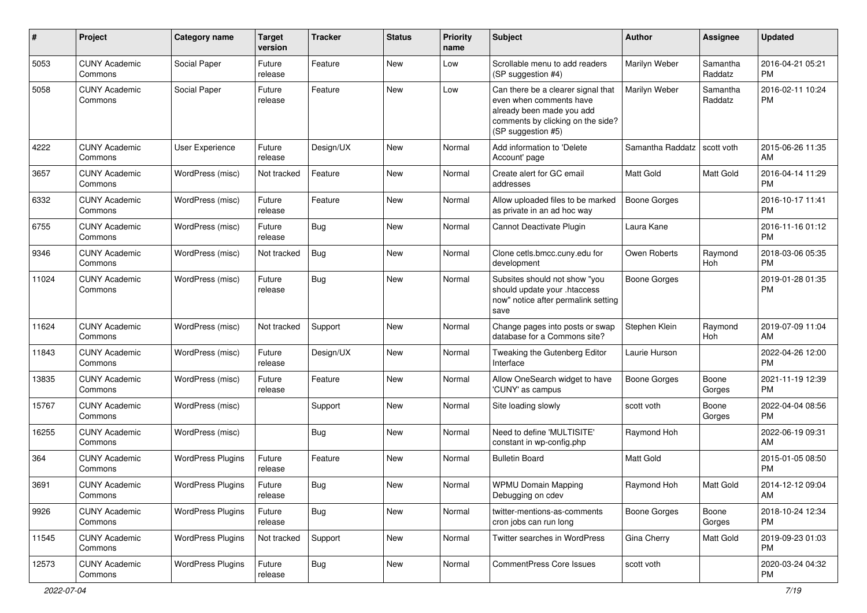| #     | Project                         | <b>Category name</b>     | <b>Target</b><br>version | <b>Tracker</b> | <b>Status</b> | <b>Priority</b><br>name | Subject                                                                                                                                               | <b>Author</b>       | <b>Assignee</b>     | <b>Updated</b>                |
|-------|---------------------------------|--------------------------|--------------------------|----------------|---------------|-------------------------|-------------------------------------------------------------------------------------------------------------------------------------------------------|---------------------|---------------------|-------------------------------|
| 5053  | <b>CUNY Academic</b><br>Commons | Social Paper             | Future<br>release        | Feature        | New           | Low                     | Scrollable menu to add readers<br>(SP suggestion #4)                                                                                                  | Marilyn Weber       | Samantha<br>Raddatz | 2016-04-21 05:21<br><b>PM</b> |
| 5058  | <b>CUNY Academic</b><br>Commons | Social Paper             | Future<br>release        | Feature        | New           | Low                     | Can there be a clearer signal that<br>even when comments have<br>already been made you add<br>comments by clicking on the side?<br>(SP suggestion #5) | Marilyn Weber       | Samantha<br>Raddatz | 2016-02-11 10:24<br><b>PM</b> |
| 4222  | <b>CUNY Academic</b><br>Commons | User Experience          | Future<br>release        | Design/UX      | New           | Normal                  | Add information to 'Delete<br>Account' page                                                                                                           | Samantha Raddatz    | scott voth          | 2015-06-26 11:35<br>AM        |
| 3657  | <b>CUNY Academic</b><br>Commons | WordPress (misc)         | Not tracked              | Feature        | <b>New</b>    | Normal                  | Create alert for GC email<br>addresses                                                                                                                | Matt Gold           | Matt Gold           | 2016-04-14 11:29<br><b>PM</b> |
| 6332  | <b>CUNY Academic</b><br>Commons | WordPress (misc)         | Future<br>release        | Feature        | New           | Normal                  | Allow uploaded files to be marked<br>as private in an ad hoc way                                                                                      | <b>Boone Gorges</b> |                     | 2016-10-17 11:41<br><b>PM</b> |
| 6755  | <b>CUNY Academic</b><br>Commons | WordPress (misc)         | Future<br>release        | Bug            | New           | Normal                  | Cannot Deactivate Plugin                                                                                                                              | Laura Kane          |                     | 2016-11-16 01:12<br><b>PM</b> |
| 9346  | <b>CUNY Academic</b><br>Commons | WordPress (misc)         | Not tracked              | Bug            | New           | Normal                  | Clone cetls.bmcc.cuny.edu for<br>development                                                                                                          | Owen Roberts        | Raymond<br>Hoh      | 2018-03-06 05:35<br><b>PM</b> |
| 11024 | <b>CUNY Academic</b><br>Commons | WordPress (misc)         | Future<br>release        | <b>Bug</b>     | New           | Normal                  | Subsites should not show "you<br>should update your .htaccess<br>now" notice after permalink setting<br>save                                          | Boone Gorges        |                     | 2019-01-28 01:35<br><b>PM</b> |
| 11624 | <b>CUNY Academic</b><br>Commons | WordPress (misc)         | Not tracked              | Support        | New           | Normal                  | Change pages into posts or swap<br>database for a Commons site?                                                                                       | Stephen Klein       | Raymond<br>Hoh      | 2019-07-09 11:04<br>AM        |
| 11843 | <b>CUNY Academic</b><br>Commons | WordPress (misc)         | Future<br>release        | Design/UX      | New           | Normal                  | Tweaking the Gutenberg Editor<br>Interface                                                                                                            | Laurie Hurson       |                     | 2022-04-26 12:00<br><b>PM</b> |
| 13835 | <b>CUNY Academic</b><br>Commons | WordPress (misc)         | Future<br>release        | Feature        | New           | Normal                  | Allow OneSearch widget to have<br>'CUNY' as campus                                                                                                    | Boone Gorges        | Boone<br>Gorges     | 2021-11-19 12:39<br><b>PM</b> |
| 15767 | <b>CUNY Academic</b><br>Commons | WordPress (misc)         |                          | Support        | New           | Normal                  | Site loading slowly                                                                                                                                   | scott voth          | Boone<br>Gorges     | 2022-04-04 08:56<br>PM.       |
| 16255 | <b>CUNY Academic</b><br>Commons | WordPress (misc)         |                          | Bug            | New           | Normal                  | Need to define 'MULTISITE'<br>constant in wp-config.php                                                                                               | Raymond Hoh         |                     | 2022-06-19 09:31<br>AM.       |
| 364   | <b>CUNY Academic</b><br>Commons | <b>WordPress Plugins</b> | Future<br>release        | Feature        | New           | Normal                  | <b>Bulletin Board</b>                                                                                                                                 | <b>Matt Gold</b>    |                     | 2015-01-05 08:50<br><b>PM</b> |
| 3691  | <b>CUNY Academic</b><br>Commons | <b>WordPress Plugins</b> | Future<br>release        | Bug            | New           | Normal                  | <b>WPMU Domain Mapping</b><br>Debugging on cdev                                                                                                       | Raymond Hoh         | Matt Gold           | 2014-12-12 09:04<br>AM        |
| 9926  | <b>CUNY Academic</b><br>Commons | <b>WordPress Plugins</b> | Future<br>release        | Bug            | New           | Normal                  | twitter-mentions-as-comments<br>cron jobs can run long                                                                                                | Boone Gorges        | Boone<br>Gorges     | 2018-10-24 12:34<br><b>PM</b> |
| 11545 | <b>CUNY Academic</b><br>Commons | <b>WordPress Plugins</b> | Not tracked              | Support        | New           | Normal                  | Twitter searches in WordPress                                                                                                                         | Gina Cherry         | Matt Gold           | 2019-09-23 01:03<br><b>PM</b> |
| 12573 | <b>CUNY Academic</b><br>Commons | <b>WordPress Plugins</b> | Future<br>release        | <b>Bug</b>     | New           | Normal                  | CommentPress Core Issues                                                                                                                              | scott voth          |                     | 2020-03-24 04:32<br><b>PM</b> |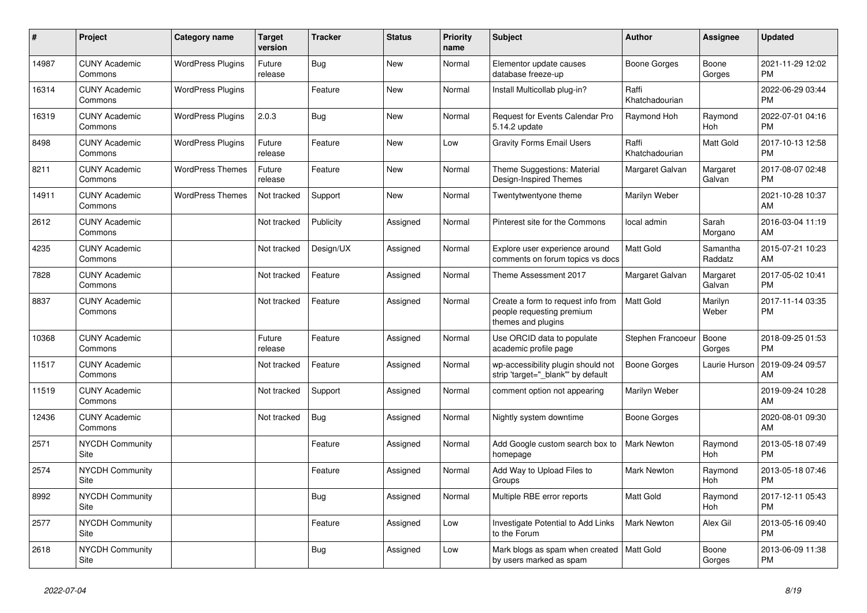| $\pmb{\#}$ | <b>Project</b>                        | <b>Category name</b>     | <b>Target</b><br>version | <b>Tracker</b> | <b>Status</b> | <b>Priority</b><br>name | <b>Subject</b>                                                                        | <b>Author</b>           | Assignee            | <b>Updated</b>                |
|------------|---------------------------------------|--------------------------|--------------------------|----------------|---------------|-------------------------|---------------------------------------------------------------------------------------|-------------------------|---------------------|-------------------------------|
| 14987      | <b>CUNY Academic</b><br>Commons       | <b>WordPress Plugins</b> | Future<br>release        | <b>Bug</b>     | New           | Normal                  | Elementor update causes<br>database freeze-up                                         | Boone Gorges            | Boone<br>Gorges     | 2021-11-29 12:02<br><b>PM</b> |
| 16314      | <b>CUNY Academic</b><br>Commons       | <b>WordPress Plugins</b> |                          | Feature        | New           | Normal                  | Install Multicollab plug-in?                                                          | Raffi<br>Khatchadourian |                     | 2022-06-29 03:44<br><b>PM</b> |
| 16319      | <b>CUNY Academic</b><br>Commons       | <b>WordPress Plugins</b> | 2.0.3                    | Bug            | <b>New</b>    | Normal                  | <b>Request for Events Calendar Pro</b><br>5.14.2 update                               | Raymond Hoh             | Raymond<br>Hoh      | 2022-07-01 04:16<br><b>PM</b> |
| 8498       | <b>CUNY Academic</b><br>Commons       | <b>WordPress Plugins</b> | Future<br>release        | Feature        | <b>New</b>    | Low                     | <b>Gravity Forms Email Users</b>                                                      | Raffi<br>Khatchadourian | Matt Gold           | 2017-10-13 12:58<br><b>PM</b> |
| 8211       | <b>CUNY Academic</b><br>Commons       | <b>WordPress Themes</b>  | Future<br>release        | Feature        | New           | Normal                  | Theme Suggestions: Material<br>Design-Inspired Themes                                 | Margaret Galvan         | Margaret<br>Galvan  | 2017-08-07 02:48<br><b>PM</b> |
| 14911      | <b>CUNY Academic</b><br>Commons       | <b>WordPress Themes</b>  | Not tracked              | Support        | New           | Normal                  | Twentytwentyone theme                                                                 | Marilyn Weber           |                     | 2021-10-28 10:37<br>AM        |
| 2612       | <b>CUNY Academic</b><br>Commons       |                          | Not tracked              | Publicity      | Assigned      | Normal                  | Pinterest site for the Commons                                                        | local admin             | Sarah<br>Morgano    | 2016-03-04 11:19<br>AM        |
| 4235       | <b>CUNY Academic</b><br>Commons       |                          | Not tracked              | Design/UX      | Assigned      | Normal                  | Explore user experience around<br>comments on forum topics vs docs                    | Matt Gold               | Samantha<br>Raddatz | 2015-07-21 10:23<br>AM        |
| 7828       | <b>CUNY Academic</b><br>Commons       |                          | Not tracked              | Feature        | Assigned      | Normal                  | Theme Assessment 2017                                                                 | Margaret Galvan         | Margaret<br>Galvan  | 2017-05-02 10:41<br><b>PM</b> |
| 8837       | <b>CUNY Academic</b><br>Commons       |                          | Not tracked              | Feature        | Assigned      | Normal                  | Create a form to request info from<br>people requesting premium<br>themes and plugins | <b>Matt Gold</b>        | Marilyn<br>Weber    | 2017-11-14 03:35<br><b>PM</b> |
| 10368      | <b>CUNY Academic</b><br>Commons       |                          | Future<br>release        | Feature        | Assigned      | Normal                  | Use ORCID data to populate<br>academic profile page                                   | Stephen Francoeur       | Boone<br>Gorges     | 2018-09-25 01:53<br><b>PM</b> |
| 11517      | <b>CUNY Academic</b><br>Commons       |                          | Not tracked              | Feature        | Assigned      | Normal                  | wp-accessibility plugin should not<br>strip 'target=" blank" by default               | <b>Boone Gorges</b>     | Laurie Hurson       | 2019-09-24 09:57<br>AM        |
| 11519      | <b>CUNY Academic</b><br>Commons       |                          | Not tracked              | Support        | Assigned      | Normal                  | comment option not appearing                                                          | Marilyn Weber           |                     | 2019-09-24 10:28<br>AM        |
| 12436      | <b>CUNY Academic</b><br>Commons       |                          | Not tracked              | Bug            | Assigned      | Normal                  | Nightly system downtime                                                               | Boone Gorges            |                     | 2020-08-01 09:30<br>AM        |
| 2571       | <b>NYCDH Community</b><br><b>Site</b> |                          |                          | Feature        | Assigned      | Normal                  | Add Google custom search box to<br>homepage                                           | Mark Newton             | Raymond<br>Hoh      | 2013-05-18 07:49<br><b>PM</b> |
| 2574       | <b>NYCDH Community</b><br>Site        |                          |                          | Feature        | Assigned      | Normal                  | Add Way to Upload Files to<br>Groups                                                  | <b>Mark Newton</b>      | Raymond<br>Hoh      | 2013-05-18 07:46<br><b>PM</b> |
| 8992       | <b>NYCDH Community</b><br><b>Site</b> |                          |                          | Bug            | Assigned      | Normal                  | Multiple RBE error reports                                                            | Matt Gold               | Raymond<br>Hoh      | 2017-12-11 05:43<br><b>PM</b> |
| 2577       | <b>NYCDH Community</b><br>Site        |                          |                          | Feature        | Assigned      | Low                     | Investigate Potential to Add Links<br>to the Forum                                    | <b>Mark Newton</b>      | Alex Gil            | 2013-05-16 09:40<br><b>PM</b> |
| 2618       | <b>NYCDH Community</b><br>Site        |                          |                          | Bug            | Assigned      | Low                     | Mark blogs as spam when created<br>by users marked as spam                            | <b>Matt Gold</b>        | Boone<br>Gorges     | 2013-06-09 11:38<br><b>PM</b> |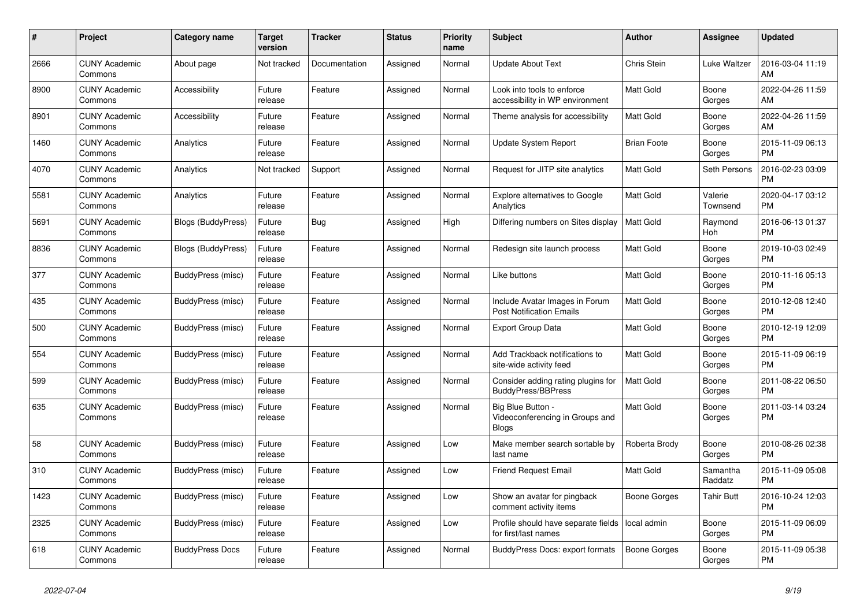| #    | Project                         | <b>Category name</b>      | <b>Target</b><br>version | <b>Tracker</b> | <b>Status</b> | <b>Priority</b><br>name | <b>Subject</b>                                                       | <b>Author</b>      | Assignee            | <b>Updated</b>                |
|------|---------------------------------|---------------------------|--------------------------|----------------|---------------|-------------------------|----------------------------------------------------------------------|--------------------|---------------------|-------------------------------|
| 2666 | <b>CUNY Academic</b><br>Commons | About page                | Not tracked              | Documentation  | Assigned      | Normal                  | <b>Update About Text</b>                                             | Chris Stein        | Luke Waltzer        | 2016-03-04 11:19<br>AM        |
| 8900 | <b>CUNY Academic</b><br>Commons | Accessibility             | Future<br>release        | Feature        | Assigned      | Normal                  | Look into tools to enforce<br>accessibility in WP environment        | Matt Gold          | Boone<br>Gorges     | 2022-04-26 11:59<br>AM        |
| 8901 | <b>CUNY Academic</b><br>Commons | Accessibility             | Future<br>release        | Feature        | Assigned      | Normal                  | Theme analysis for accessibility                                     | Matt Gold          | Boone<br>Gorges     | 2022-04-26 11:59<br>AM        |
| 1460 | <b>CUNY Academic</b><br>Commons | Analytics                 | Future<br>release        | Feature        | Assigned      | Normal                  | <b>Update System Report</b>                                          | <b>Brian Foote</b> | Boone<br>Gorges     | 2015-11-09 06:13<br><b>PM</b> |
| 4070 | <b>CUNY Academic</b><br>Commons | Analytics                 | Not tracked              | Support        | Assigned      | Normal                  | Request for JITP site analytics                                      | Matt Gold          | Seth Persons        | 2016-02-23 03:09<br><b>PM</b> |
| 5581 | <b>CUNY Academic</b><br>Commons | Analytics                 | Future<br>release        | Feature        | Assigned      | Normal                  | <b>Explore alternatives to Google</b><br>Analytics                   | Matt Gold          | Valerie<br>Townsend | 2020-04-17 03:12<br><b>PM</b> |
| 5691 | <b>CUNY Academic</b><br>Commons | <b>Blogs (BuddyPress)</b> | Future<br>release        | Bug            | Assigned      | High                    | Differing numbers on Sites display                                   | <b>Matt Gold</b>   | Raymond<br>Hoh      | 2016-06-13 01:37<br><b>PM</b> |
| 8836 | <b>CUNY Academic</b><br>Commons | Blogs (BuddyPress)        | Future<br>release        | Feature        | Assigned      | Normal                  | Redesign site launch process                                         | <b>Matt Gold</b>   | Boone<br>Gorges     | 2019-10-03 02:49<br><b>PM</b> |
| 377  | <b>CUNY Academic</b><br>Commons | BuddyPress (misc)         | Future<br>release        | Feature        | Assigned      | Normal                  | Like buttons                                                         | Matt Gold          | Boone<br>Gorges     | 2010-11-16 05:13<br><b>PM</b> |
| 435  | <b>CUNY Academic</b><br>Commons | BuddyPress (misc)         | Future<br>release        | Feature        | Assigned      | Normal                  | Include Avatar Images in Forum<br><b>Post Notification Emails</b>    | Matt Gold          | Boone<br>Gorges     | 2010-12-08 12:40<br><b>PM</b> |
| 500  | <b>CUNY Academic</b><br>Commons | BuddyPress (misc)         | Future<br>release        | Feature        | Assigned      | Normal                  | <b>Export Group Data</b>                                             | <b>Matt Gold</b>   | Boone<br>Gorges     | 2010-12-19 12:09<br><b>PM</b> |
| 554  | <b>CUNY Academic</b><br>Commons | BuddyPress (misc)         | Future<br>release        | Feature        | Assigned      | Normal                  | Add Trackback notifications to<br>site-wide activity feed            | Matt Gold          | Boone<br>Gorges     | 2015-11-09 06:19<br><b>PM</b> |
| 599  | <b>CUNY Academic</b><br>Commons | BuddyPress (misc)         | Future<br>release        | Feature        | Assigned      | Normal                  | Consider adding rating plugins for<br><b>BuddyPress/BBPress</b>      | Matt Gold          | Boone<br>Gorges     | 2011-08-22 06:50<br><b>PM</b> |
| 635  | <b>CUNY Academic</b><br>Commons | BuddyPress (misc)         | Future<br>release        | Feature        | Assigned      | Normal                  | Big Blue Button -<br>Videoconferencing in Groups and<br><b>Blogs</b> | <b>Matt Gold</b>   | Boone<br>Gorges     | 2011-03-14 03:24<br><b>PM</b> |
| 58   | <b>CUNY Academic</b><br>Commons | <b>BuddyPress (misc)</b>  | Future<br>release        | Feature        | Assigned      | Low                     | Make member search sortable by<br>last name                          | Roberta Brody      | Boone<br>Gorges     | 2010-08-26 02:38<br><b>PM</b> |
| 310  | <b>CUNY Academic</b><br>Commons | BuddyPress (misc)         | Future<br>release        | Feature        | Assigned      | Low                     | <b>Friend Request Email</b>                                          | Matt Gold          | Samantha<br>Raddatz | 2015-11-09 05:08<br><b>PM</b> |
| 1423 | <b>CUNY Academic</b><br>Commons | BuddyPress (misc)         | Future<br>release        | Feature        | Assigned      | Low                     | Show an avatar for pingback<br>comment activity items                | Boone Gorges       | Tahir Butt          | 2016-10-24 12:03<br><b>PM</b> |
| 2325 | <b>CUNY Academic</b><br>Commons | BuddyPress (misc)         | Future<br>release        | Feature        | Assigned      | Low                     | Profile should have separate fields<br>for first/last names          | local admin        | Boone<br>Gorges     | 2015-11-09 06:09<br><b>PM</b> |
| 618  | <b>CUNY Academic</b><br>Commons | <b>BuddyPress Docs</b>    | Future<br>release        | Feature        | Assigned      | Normal                  | <b>BuddyPress Docs: export formats</b>                               | Boone Gorges       | Boone<br>Gorges     | 2015-11-09 05:38<br><b>PM</b> |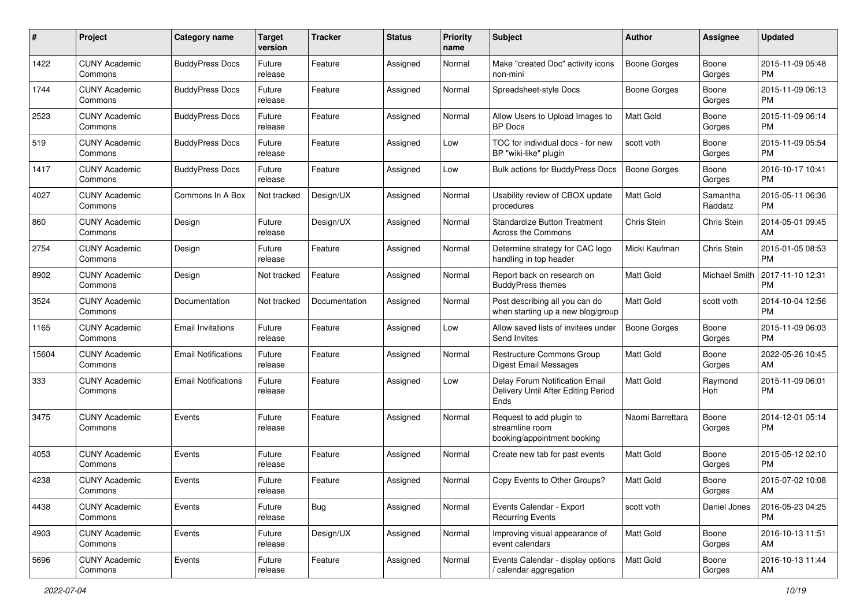| #     | Project                         | <b>Category name</b>       | <b>Target</b><br>version | <b>Tracker</b> | <b>Status</b> | Priority<br>name | <b>Subject</b>                                                                | <b>Author</b>       | <b>Assignee</b>      | <b>Updated</b>                |
|-------|---------------------------------|----------------------------|--------------------------|----------------|---------------|------------------|-------------------------------------------------------------------------------|---------------------|----------------------|-------------------------------|
| 1422  | <b>CUNY Academic</b><br>Commons | <b>BuddyPress Docs</b>     | Future<br>release        | Feature        | Assigned      | Normal           | Make "created Doc" activity icons<br>non-mini                                 | Boone Gorges        | Boone<br>Gorges      | 2015-11-09 05:48<br>PM.       |
| 1744  | <b>CUNY Academic</b><br>Commons | <b>BuddyPress Docs</b>     | Future<br>release        | Feature        | Assigned      | Normal           | Spreadsheet-style Docs                                                        | <b>Boone Gorges</b> | Boone<br>Gorges      | 2015-11-09 06:13<br><b>PM</b> |
| 2523  | <b>CUNY Academic</b><br>Commons | <b>BuddyPress Docs</b>     | Future<br>release        | Feature        | Assigned      | Normal           | Allow Users to Upload Images to<br><b>BP</b> Docs                             | Matt Gold           | Boone<br>Gorges      | 2015-11-09 06:14<br><b>PM</b> |
| 519   | <b>CUNY Academic</b><br>Commons | <b>BuddyPress Docs</b>     | Future<br>release        | Feature        | Assigned      | Low              | TOC for individual docs - for new<br>BP "wiki-like" plugin                    | scott voth          | Boone<br>Gorges      | 2015-11-09 05:54<br><b>PM</b> |
| 1417  | <b>CUNY Academic</b><br>Commons | <b>BuddyPress Docs</b>     | Future<br>release        | Feature        | Assigned      | Low              | Bulk actions for BuddyPress Docs                                              | Boone Gorges        | Boone<br>Gorges      | 2016-10-17 10:41<br><b>PM</b> |
| 4027  | <b>CUNY Academic</b><br>Commons | Commons In A Box           | Not tracked              | Design/UX      | Assigned      | Normal           | Usability review of CBOX update<br>procedures                                 | <b>Matt Gold</b>    | Samantha<br>Raddatz  | 2015-05-11 06:36<br><b>PM</b> |
| 860   | <b>CUNY Academic</b><br>Commons | Design                     | Future<br>release        | Design/UX      | Assigned      | Normal           | <b>Standardize Button Treatment</b><br>Across the Commons                     | Chris Stein         | Chris Stein          | 2014-05-01 09:45<br>AM.       |
| 2754  | <b>CUNY Academic</b><br>Commons | Design                     | Future<br>release        | Feature        | Assigned      | Normal           | Determine strategy for CAC logo<br>handling in top header                     | Micki Kaufman       | Chris Stein          | 2015-01-05 08:53<br>PM.       |
| 8902  | <b>CUNY Academic</b><br>Commons | Design                     | Not tracked              | Feature        | Assigned      | Normal           | Report back on research on<br><b>BuddyPress themes</b>                        | <b>Matt Gold</b>    | <b>Michael Smith</b> | 2017-11-10 12:31<br><b>PM</b> |
| 3524  | <b>CUNY Academic</b><br>Commons | Documentation              | Not tracked              | Documentation  | Assigned      | Normal           | Post describing all you can do<br>when starting up a new blog/group           | Matt Gold           | scott voth           | 2014-10-04 12:56<br><b>PM</b> |
| 1165  | <b>CUNY Academic</b><br>Commons | <b>Email Invitations</b>   | Future<br>release        | Feature        | Assigned      | Low              | Allow saved lists of invitees under<br>Send Invites                           | Boone Gorges        | Boone<br>Gorges      | 2015-11-09 06:03<br><b>PM</b> |
| 15604 | <b>CUNY Academic</b><br>Commons | <b>Email Notifications</b> | Future<br>release        | Feature        | Assigned      | Normal           | Restructure Commons Group<br>Digest Email Messages                            | <b>Matt Gold</b>    | Boone<br>Gorges      | 2022-05-26 10:45<br>AM        |
| 333   | <b>CUNY Academic</b><br>Commons | <b>Email Notifications</b> | Future<br>release        | Feature        | Assigned      | Low              | Delay Forum Notification Email<br>Delivery Until After Editing Period<br>Ends | <b>Matt Gold</b>    | Raymond<br>Hoh       | 2015-11-09 06:01<br><b>PM</b> |
| 3475  | <b>CUNY Academic</b><br>Commons | Events                     | Future<br>release        | Feature        | Assigned      | Normal           | Request to add plugin to<br>streamline room<br>booking/appointment booking    | Naomi Barrettara    | Boone<br>Gorges      | 2014-12-01 05:14<br><b>PM</b> |
| 4053  | <b>CUNY Academic</b><br>Commons | Events                     | Future<br>release        | Feature        | Assigned      | Normal           | Create new tab for past events                                                | <b>Matt Gold</b>    | Boone<br>Gorges      | 2015-05-12 02:10<br>PM.       |
| 4238  | <b>CUNY Academic</b><br>Commons | Events                     | Future<br>release        | Feature        | Assigned      | Normal           | Copy Events to Other Groups?                                                  | Matt Gold           | Boone<br>Gorges      | 2015-07-02 10:08<br>AM        |
| 4438  | <b>CUNY Academic</b><br>Commons | Events                     | Future<br>release        | Bug            | Assigned      | Normal           | Events Calendar - Export<br><b>Recurring Events</b>                           | scott voth          | Daniel Jones         | 2016-05-23 04:25<br><b>PM</b> |
| 4903  | <b>CUNY Academic</b><br>Commons | Events                     | Future<br>release        | Design/UX      | Assigned      | Normal           | Improving visual appearance of<br>event calendars                             | Matt Gold           | Boone<br>Gorges      | 2016-10-13 11:51<br>AM        |
| 5696  | <b>CUNY Academic</b><br>Commons | Events                     | Future<br>release        | Feature        | Assigned      | Normal           | Events Calendar - display options<br>/ calendar aggregation                   | Matt Gold           | Boone<br>Gorges      | 2016-10-13 11:44<br>AM        |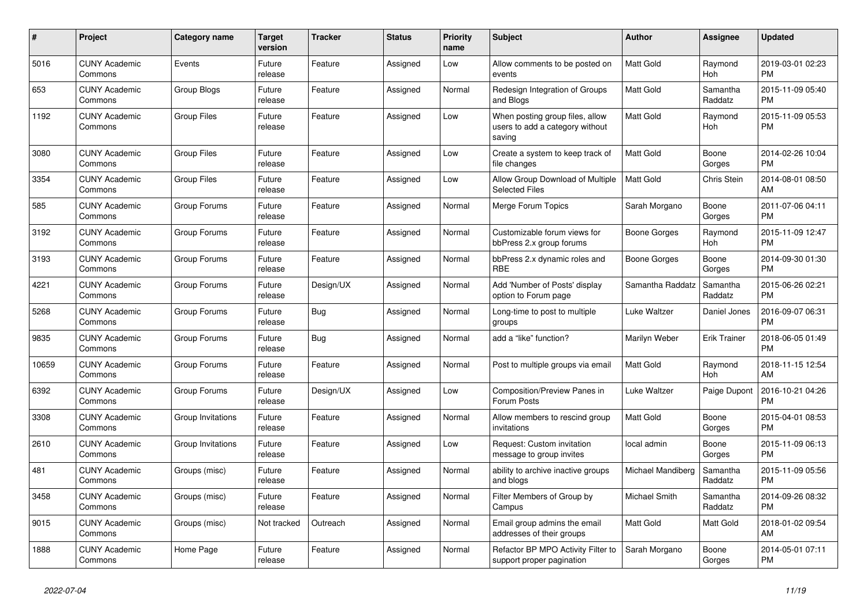| $\#$  | Project                         | <b>Category name</b> | Target<br>version | <b>Tracker</b> | <b>Status</b> | Priority<br>name | <b>Subject</b>                                                               | <b>Author</b>            | Assignee            | <b>Updated</b>                |
|-------|---------------------------------|----------------------|-------------------|----------------|---------------|------------------|------------------------------------------------------------------------------|--------------------------|---------------------|-------------------------------|
| 5016  | <b>CUNY Academic</b><br>Commons | Events               | Future<br>release | Feature        | Assigned      | Low              | Allow comments to be posted on<br>events                                     | <b>Matt Gold</b>         | Raymond<br>Hoh      | 2019-03-01 02:23<br><b>PM</b> |
| 653   | <b>CUNY Academic</b><br>Commons | Group Blogs          | Future<br>release | Feature        | Assigned      | Normal           | Redesign Integration of Groups<br>and Blogs                                  | <b>Matt Gold</b>         | Samantha<br>Raddatz | 2015-11-09 05:40<br><b>PM</b> |
| 1192  | <b>CUNY Academic</b><br>Commons | <b>Group Files</b>   | Future<br>release | Feature        | Assigned      | Low              | When posting group files, allow<br>users to add a category without<br>saving | <b>Matt Gold</b>         | Raymond<br>Hoh      | 2015-11-09 05:53<br><b>PM</b> |
| 3080  | <b>CUNY Academic</b><br>Commons | <b>Group Files</b>   | Future<br>release | Feature        | Assigned      | Low              | Create a system to keep track of<br>file changes                             | <b>Matt Gold</b>         | Boone<br>Gorges     | 2014-02-26 10:04<br><b>PM</b> |
| 3354  | <b>CUNY Academic</b><br>Commons | <b>Group Files</b>   | Future<br>release | Feature        | Assigned      | Low              | Allow Group Download of Multiple<br><b>Selected Files</b>                    | Matt Gold                | Chris Stein         | 2014-08-01 08:50<br>AM        |
| 585   | <b>CUNY Academic</b><br>Commons | Group Forums         | Future<br>release | Feature        | Assigned      | Normal           | Merge Forum Topics                                                           | Sarah Morgano            | Boone<br>Gorges     | 2011-07-06 04:11<br><b>PM</b> |
| 3192  | <b>CUNY Academic</b><br>Commons | Group Forums         | Future<br>release | Feature        | Assigned      | Normal           | Customizable forum views for<br>bbPress 2.x group forums                     | Boone Gorges             | Raymond<br>Hoh      | 2015-11-09 12:47<br><b>PM</b> |
| 3193  | <b>CUNY Academic</b><br>Commons | Group Forums         | Future<br>release | Feature        | Assigned      | Normal           | bbPress 2.x dynamic roles and<br><b>RBE</b>                                  | Boone Gorges             | Boone<br>Gorges     | 2014-09-30 01:30<br><b>PM</b> |
| 4221  | <b>CUNY Academic</b><br>Commons | Group Forums         | Future<br>release | Design/UX      | Assigned      | Normal           | Add 'Number of Posts' display<br>option to Forum page                        | Samantha Raddatz         | Samantha<br>Raddatz | 2015-06-26 02:21<br><b>PM</b> |
| 5268  | <b>CUNY Academic</b><br>Commons | Group Forums         | Future<br>release | Bug            | Assigned      | Normal           | Long-time to post to multiple<br>groups                                      | Luke Waltzer             | Daniel Jones        | 2016-09-07 06:31<br><b>PM</b> |
| 9835  | <b>CUNY Academic</b><br>Commons | Group Forums         | Future<br>release | Bug            | Assigned      | Normal           | add a "like" function?                                                       | Marilyn Weber            | <b>Erik Trainer</b> | 2018-06-05 01:49<br><b>PM</b> |
| 10659 | <b>CUNY Academic</b><br>Commons | Group Forums         | Future<br>release | Feature        | Assigned      | Normal           | Post to multiple groups via email                                            | <b>Matt Gold</b>         | Raymond<br>Hoh      | 2018-11-15 12:54<br>AM        |
| 6392  | <b>CUNY Academic</b><br>Commons | Group Forums         | Future<br>release | Design/UX      | Assigned      | Low              | Composition/Preview Panes in<br>Forum Posts                                  | Luke Waltzer             | Paige Dupont        | 2016-10-21 04:26<br><b>PM</b> |
| 3308  | <b>CUNY Academic</b><br>Commons | Group Invitations    | Future<br>release | Feature        | Assigned      | Normal           | Allow members to rescind group<br>invitations                                | Matt Gold                | Boone<br>Gorges     | 2015-04-01 08:53<br><b>PM</b> |
| 2610  | <b>CUNY Academic</b><br>Commons | Group Invitations    | Future<br>release | Feature        | Assigned      | Low              | Request: Custom invitation<br>message to group invites                       | local admin              | Boone<br>Gorges     | 2015-11-09 06:13<br><b>PM</b> |
| 481   | <b>CUNY Academic</b><br>Commons | Groups (misc)        | Future<br>release | Feature        | Assigned      | Normal           | ability to archive inactive groups<br>and blogs                              | <b>Michael Mandiberg</b> | Samantha<br>Raddatz | 2015-11-09 05:56<br><b>PM</b> |
| 3458  | <b>CUNY Academic</b><br>Commons | Groups (misc)        | Future<br>release | Feature        | Assigned      | Normal           | Filter Members of Group by<br>Campus                                         | Michael Smith            | Samantha<br>Raddatz | 2014-09-26 08:32<br><b>PM</b> |
| 9015  | <b>CUNY Academic</b><br>Commons | Groups (misc)        | Not tracked       | Outreach       | Assigned      | Normal           | Email group admins the email<br>addresses of their groups                    | Matt Gold                | Matt Gold           | 2018-01-02 09:54<br>AM        |
| 1888  | <b>CUNY Academic</b><br>Commons | Home Page            | Future<br>release | Feature        | Assigned      | Normal           | Refactor BP MPO Activity Filter to<br>support proper pagination              | Sarah Morgano            | Boone<br>Gorges     | 2014-05-01 07:11<br><b>PM</b> |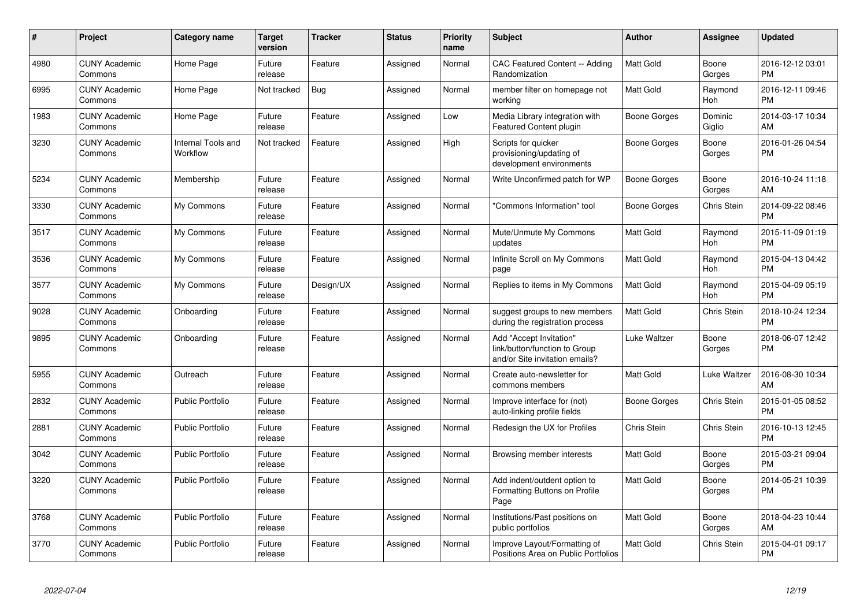| #    | <b>Project</b>                  | Category name                  | <b>Target</b><br>version | <b>Tracker</b> | <b>Status</b> | <b>Priority</b><br>name | <b>Subject</b>                                                                             | Author           | Assignee            | <b>Updated</b>                |
|------|---------------------------------|--------------------------------|--------------------------|----------------|---------------|-------------------------|--------------------------------------------------------------------------------------------|------------------|---------------------|-------------------------------|
| 4980 | <b>CUNY Academic</b><br>Commons | Home Page                      | Future<br>release        | Feature        | Assigned      | Normal                  | <b>CAC Featured Content -- Adding</b><br>Randomization                                     | <b>Matt Gold</b> | Boone<br>Gorges     | 2016-12-12 03:01<br><b>PM</b> |
| 6995 | <b>CUNY Academic</b><br>Commons | Home Page                      | Not tracked              | <b>Bug</b>     | Assigned      | Normal                  | member filter on homepage not<br>working                                                   | <b>Matt Gold</b> | Raymond<br>Hoh      | 2016-12-11 09:46<br><b>PM</b> |
| 1983 | <b>CUNY Academic</b><br>Commons | Home Page                      | Future<br>release        | Feature        | Assigned      | Low                     | Media Library integration with<br>Featured Content plugin                                  | Boone Gorges     | Dominic<br>Giglio   | 2014-03-17 10:34<br>AM        |
| 3230 | <b>CUNY Academic</b><br>Commons | Internal Tools and<br>Workflow | Not tracked              | Feature        | Assigned      | High                    | Scripts for quicker<br>provisioning/updating of<br>development environments                | Boone Gorges     | Boone<br>Gorges     | 2016-01-26 04:54<br><b>PM</b> |
| 5234 | <b>CUNY Academic</b><br>Commons | Membership                     | Future<br>release        | Feature        | Assigned      | Normal                  | Write Unconfirmed patch for WP                                                             | Boone Gorges     | Boone<br>Gorges     | 2016-10-24 11:18<br>AM.       |
| 3330 | <b>CUNY Academic</b><br>Commons | My Commons                     | Future<br>release        | Feature        | Assigned      | Normal                  | 'Commons Information" tool                                                                 | Boone Gorges     | Chris Stein         | 2014-09-22 08:46<br><b>PM</b> |
| 3517 | <b>CUNY Academic</b><br>Commons | My Commons                     | Future<br>release        | Feature        | Assigned      | Normal                  | Mute/Unmute My Commons<br>updates                                                          | <b>Matt Gold</b> | Raymond<br>Hoh      | 2015-11-09 01:19<br><b>PM</b> |
| 3536 | <b>CUNY Academic</b><br>Commons | My Commons                     | Future<br>release        | Feature        | Assigned      | Normal                  | Infinite Scroll on My Commons<br>page                                                      | Matt Gold        | Raymond<br>Hoh      | 2015-04-13 04:42<br><b>PM</b> |
| 3577 | <b>CUNY Academic</b><br>Commons | My Commons                     | Future<br>release        | Design/UX      | Assigned      | Normal                  | Replies to items in My Commons                                                             | <b>Matt Gold</b> | Raymond<br>Hoh      | 2015-04-09 05:19<br><b>PM</b> |
| 9028 | <b>CUNY Academic</b><br>Commons | Onboarding                     | Future<br>release        | Feature        | Assigned      | Normal                  | suggest groups to new members<br>during the registration process                           | <b>Matt Gold</b> | Chris Stein         | 2018-10-24 12:34<br><b>PM</b> |
| 9895 | <b>CUNY Academic</b><br>Commons | Onboarding                     | Future<br>release        | Feature        | Assigned      | Normal                  | Add "Accept Invitation"<br>link/button/function to Group<br>and/or Site invitation emails? | Luke Waltzer     | Boone<br>Gorges     | 2018-06-07 12:42<br><b>PM</b> |
| 5955 | <b>CUNY Academic</b><br>Commons | Outreach                       | Future<br>release        | Feature        | Assigned      | Normal                  | Create auto-newsletter for<br>commons members                                              | <b>Matt Gold</b> | <b>Luke Waltzer</b> | 2016-08-30 10:34<br>AM        |
| 2832 | <b>CUNY Academic</b><br>Commons | <b>Public Portfolio</b>        | Future<br>release        | Feature        | Assigned      | Normal                  | Improve interface for (not)<br>auto-linking profile fields                                 | Boone Gorges     | Chris Stein         | 2015-01-05 08:52<br><b>PM</b> |
| 2881 | <b>CUNY Academic</b><br>Commons | <b>Public Portfolio</b>        | Future<br>release        | Feature        | Assigned      | Normal                  | Redesign the UX for Profiles                                                               | Chris Stein      | Chris Stein         | 2016-10-13 12:45<br><b>PM</b> |
| 3042 | <b>CUNY Academic</b><br>Commons | Public Portfolio               | Future<br>release        | Feature        | Assigned      | Normal                  | Browsing member interests                                                                  | <b>Matt Gold</b> | Boone<br>Gorges     | 2015-03-21 09:04<br><b>PM</b> |
| 3220 | <b>CUNY Academic</b><br>Commons | Public Portfolio               | Future<br>release        | Feature        | Assigned      | Normal                  | Add indent/outdent option to<br>Formatting Buttons on Profile<br>Page                      | <b>Matt Gold</b> | Boone<br>Gorges     | 2014-05-21 10:39<br><b>PM</b> |
| 3768 | <b>CUNY Academic</b><br>Commons | <b>Public Portfolio</b>        | Future<br>release        | Feature        | Assigned      | Normal                  | Institutions/Past positions on<br>public portfolios                                        | <b>Matt Gold</b> | Boone<br>Gorges     | 2018-04-23 10:44<br>AM        |
| 3770 | <b>CUNY Academic</b><br>Commons | Public Portfolio               | Future<br>release        | Feature        | Assigned      | Normal                  | Improve Layout/Formatting of<br>Positions Area on Public Portfolios                        | Matt Gold        | Chris Stein         | 2015-04-01 09:17<br>PM        |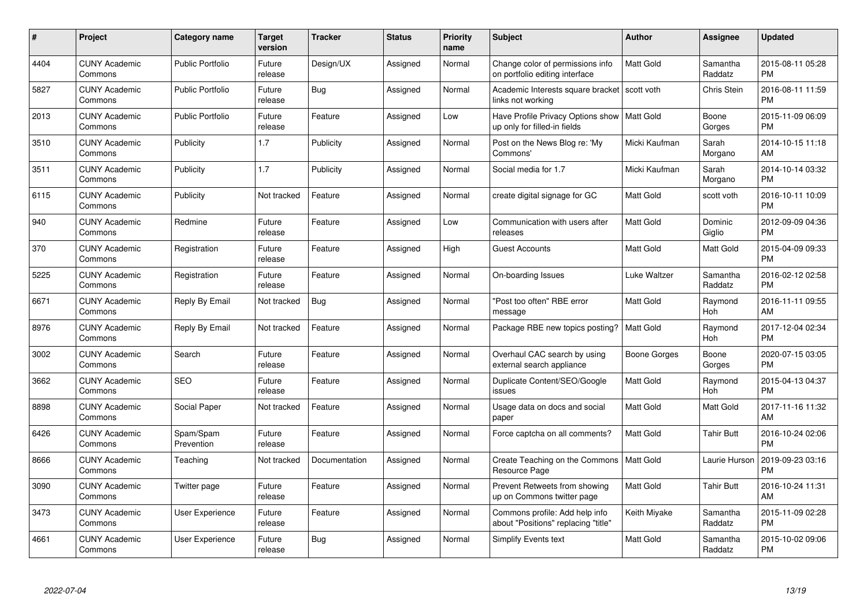| $\#$ | Project                         | <b>Category name</b>    | Target<br>version | <b>Tracker</b> | <b>Status</b> | Priority<br>name | <b>Subject</b>                                                        | <b>Author</b>    | <b>Assignee</b>     | <b>Updated</b>                |
|------|---------------------------------|-------------------------|-------------------|----------------|---------------|------------------|-----------------------------------------------------------------------|------------------|---------------------|-------------------------------|
| 4404 | <b>CUNY Academic</b><br>Commons | <b>Public Portfolio</b> | Future<br>release | Design/UX      | Assigned      | Normal           | Change color of permissions info<br>on portfolio editing interface    | <b>Matt Gold</b> | Samantha<br>Raddatz | 2015-08-11 05:28<br><b>PM</b> |
| 5827 | <b>CUNY Academic</b><br>Commons | <b>Public Portfolio</b> | Future<br>release | Bug            | Assigned      | Normal           | Academic Interests square bracket<br>links not working                | scott voth       | <b>Chris Stein</b>  | 2016-08-11 11:59<br><b>PM</b> |
| 2013 | <b>CUNY Academic</b><br>Commons | <b>Public Portfolio</b> | Future<br>release | Feature        | Assigned      | Low              | Have Profile Privacy Options show<br>up only for filled-in fields     | <b>Matt Gold</b> | Boone<br>Gorges     | 2015-11-09 06:09<br><b>PM</b> |
| 3510 | <b>CUNY Academic</b><br>Commons | Publicity               | 1.7               | Publicity      | Assigned      | Normal           | Post on the News Blog re: 'My<br>Commons'                             | Micki Kaufman    | Sarah<br>Morgano    | 2014-10-15 11:18<br>AM        |
| 3511 | <b>CUNY Academic</b><br>Commons | Publicity               | 1.7               | Publicity      | Assigned      | Normal           | Social media for 1.7                                                  | Micki Kaufman    | Sarah<br>Morgano    | 2014-10-14 03:32<br><b>PM</b> |
| 6115 | <b>CUNY Academic</b><br>Commons | Publicity               | Not tracked       | Feature        | Assigned      | Normal           | create digital signage for GC                                         | <b>Matt Gold</b> | scott voth          | 2016-10-11 10:09<br><b>PM</b> |
| 940  | <b>CUNY Academic</b><br>Commons | Redmine                 | Future<br>release | Feature        | Assigned      | Low              | Communication with users after<br>releases                            | <b>Matt Gold</b> | Dominic<br>Giglio   | 2012-09-09 04:36<br><b>PM</b> |
| 370  | <b>CUNY Academic</b><br>Commons | Registration            | Future<br>release | Feature        | Assigned      | High             | <b>Guest Accounts</b>                                                 | <b>Matt Gold</b> | Matt Gold           | 2015-04-09 09:33<br><b>PM</b> |
| 5225 | <b>CUNY Academic</b><br>Commons | Registration            | Future<br>release | Feature        | Assigned      | Normal           | On-boarding Issues                                                    | Luke Waltzer     | Samantha<br>Raddatz | 2016-02-12 02:58<br><b>PM</b> |
| 6671 | <b>CUNY Academic</b><br>Commons | Reply By Email          | Not tracked       | Bug            | Assigned      | Normal           | "Post too often" RBE error<br>message                                 | <b>Matt Gold</b> | Raymond<br>Hoh      | 2016-11-11 09:55<br>AM        |
| 8976 | <b>CUNY Academic</b><br>Commons | Reply By Email          | Not tracked       | Feature        | Assigned      | Normal           | Package RBE new topics posting?                                       | <b>Matt Gold</b> | Raymond<br>Hoh      | 2017-12-04 02:34<br><b>PM</b> |
| 3002 | <b>CUNY Academic</b><br>Commons | Search                  | Future<br>release | Feature        | Assigned      | Normal           | Overhaul CAC search by using<br>external search appliance             | Boone Gorges     | Boone<br>Gorges     | 2020-07-15 03:05<br><b>PM</b> |
| 3662 | <b>CUNY Academic</b><br>Commons | <b>SEO</b>              | Future<br>release | Feature        | Assigned      | Normal           | Duplicate Content/SEO/Google<br>issues                                | Matt Gold        | Raymond<br>Hoh      | 2015-04-13 04:37<br><b>PM</b> |
| 8898 | <b>CUNY Academic</b><br>Commons | Social Paper            | Not tracked       | Feature        | Assigned      | Normal           | Usage data on docs and social<br>paper                                | Matt Gold        | Matt Gold           | 2017-11-16 11:32<br>AM        |
| 6426 | <b>CUNY Academic</b><br>Commons | Spam/Spam<br>Prevention | Future<br>release | Feature        | Assigned      | Normal           | Force captcha on all comments?                                        | Matt Gold        | <b>Tahir Butt</b>   | 2016-10-24 02:06<br><b>PM</b> |
| 8666 | <b>CUNY Academic</b><br>Commons | Teaching                | Not tracked       | Documentation  | Assigned      | Normal           | Create Teaching on the Commons<br>Resource Page                       | Matt Gold        | Laurie Hurson       | 2019-09-23 03:16<br><b>PM</b> |
| 3090 | <b>CUNY Academic</b><br>Commons | Twitter page            | Future<br>release | Feature        | Assigned      | Normal           | Prevent Retweets from showing<br>up on Commons twitter page           | Matt Gold        | <b>Tahir Butt</b>   | 2016-10-24 11:31<br>AM        |
| 3473 | <b>CUNY Academic</b><br>Commons | User Experience         | Future<br>release | Feature        | Assigned      | Normal           | Commons profile: Add help info<br>about "Positions" replacing "title" | Keith Miyake     | Samantha<br>Raddatz | 2015-11-09 02:28<br><b>PM</b> |
| 4661 | <b>CUNY Academic</b><br>Commons | User Experience         | Future<br>release | Bug            | Assigned      | Normal           | Simplify Events text                                                  | <b>Matt Gold</b> | Samantha<br>Raddatz | 2015-10-02 09:06<br><b>PM</b> |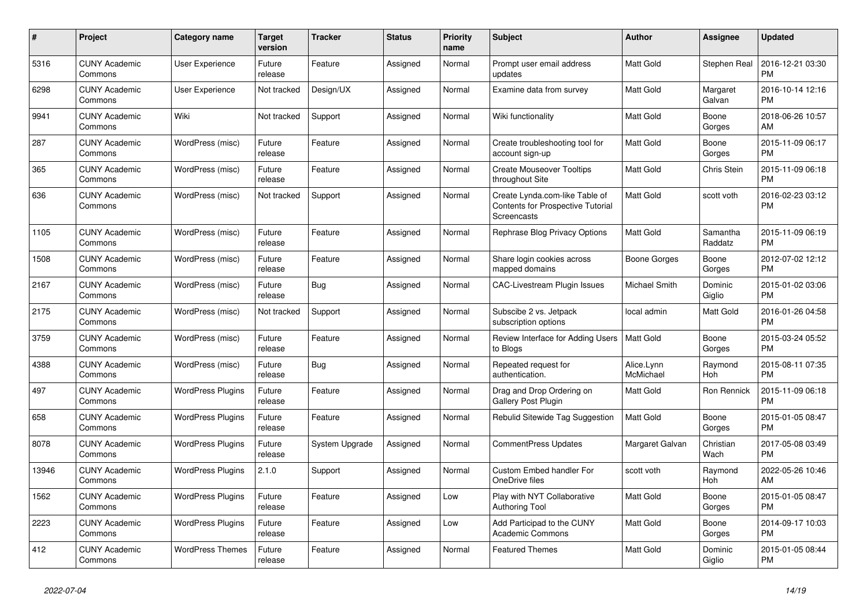| $\#$  | Project                         | <b>Category name</b>     | <b>Target</b><br>version | <b>Tracker</b> | <b>Status</b> | Priority<br>name | <b>Subject</b>                                                                            | <b>Author</b>           | <b>Assignee</b>     | <b>Updated</b>                |
|-------|---------------------------------|--------------------------|--------------------------|----------------|---------------|------------------|-------------------------------------------------------------------------------------------|-------------------------|---------------------|-------------------------------|
| 5316  | <b>CUNY Academic</b><br>Commons | <b>User Experience</b>   | Future<br>release        | Feature        | Assigned      | Normal           | Prompt user email address<br>updates                                                      | Matt Gold               | Stephen Real        | 2016-12-21 03:30<br><b>PM</b> |
| 6298  | <b>CUNY Academic</b><br>Commons | User Experience          | Not tracked              | Design/UX      | Assigned      | Normal           | Examine data from survey                                                                  | Matt Gold               | Margaret<br>Galvan  | 2016-10-14 12:16<br><b>PM</b> |
| 9941  | <b>CUNY Academic</b><br>Commons | Wiki                     | Not tracked              | Support        | Assigned      | Normal           | Wiki functionality                                                                        | Matt Gold               | Boone<br>Gorges     | 2018-06-26 10:57<br>AM        |
| 287   | <b>CUNY Academic</b><br>Commons | WordPress (misc)         | Future<br>release        | Feature        | Assigned      | Normal           | Create troubleshooting tool for<br>account sign-up                                        | Matt Gold               | Boone<br>Gorges     | 2015-11-09 06:17<br><b>PM</b> |
| 365   | <b>CUNY Academic</b><br>Commons | WordPress (misc)         | Future<br>release        | Feature        | Assigned      | Normal           | <b>Create Mouseover Tooltips</b><br>throughout Site                                       | Matt Gold               | Chris Stein         | 2015-11-09 06:18<br><b>PM</b> |
| 636   | <b>CUNY Academic</b><br>Commons | WordPress (misc)         | Not tracked              | Support        | Assigned      | Normal           | Create Lynda.com-like Table of<br><b>Contents for Prospective Tutorial</b><br>Screencasts | Matt Gold               | scott voth          | 2016-02-23 03:12<br><b>PM</b> |
| 1105  | <b>CUNY Academic</b><br>Commons | WordPress (misc)         | Future<br>release        | Feature        | Assigned      | Normal           | Rephrase Blog Privacy Options                                                             | Matt Gold               | Samantha<br>Raddatz | 2015-11-09 06:19<br><b>PM</b> |
| 1508  | <b>CUNY Academic</b><br>Commons | WordPress (misc)         | Future<br>release        | Feature        | Assigned      | Normal           | Share login cookies across<br>mapped domains                                              | Boone Gorges            | Boone<br>Gorges     | 2012-07-02 12:12<br><b>PM</b> |
| 2167  | <b>CUNY Academic</b><br>Commons | WordPress (misc)         | Future<br>release        | Bug            | Assigned      | Normal           | <b>CAC-Livestream Plugin Issues</b>                                                       | Michael Smith           | Dominic<br>Giglio   | 2015-01-02 03:06<br><b>PM</b> |
| 2175  | <b>CUNY Academic</b><br>Commons | WordPress (misc)         | Not tracked              | Support        | Assigned      | Normal           | Subscibe 2 vs. Jetpack<br>subscription options                                            | local admin             | Matt Gold           | 2016-01-26 04:58<br><b>PM</b> |
| 3759  | <b>CUNY Academic</b><br>Commons | WordPress (misc)         | Future<br>release        | Feature        | Assigned      | Normal           | Review Interface for Adding Users<br>to Blogs                                             | <b>Matt Gold</b>        | Boone<br>Gorges     | 2015-03-24 05:52<br><b>PM</b> |
| 4388  | <b>CUNY Academic</b><br>Commons | WordPress (misc)         | Future<br>release        | Bug            | Assigned      | Normal           | Repeated request for<br>authentication.                                                   | Alice.Lynn<br>McMichael | Raymond<br>Hoh      | 2015-08-11 07:35<br><b>PM</b> |
| 497   | <b>CUNY Academic</b><br>Commons | <b>WordPress Plugins</b> | Future<br>release        | Feature        | Assigned      | Normal           | Drag and Drop Ordering on<br>Gallery Post Plugin                                          | Matt Gold               | Ron Rennick         | 2015-11-09 06:18<br><b>PM</b> |
| 658   | <b>CUNY Academic</b><br>Commons | <b>WordPress Plugins</b> | Future<br>release        | Feature        | Assigned      | Normal           | Rebulid Sitewide Tag Suggestion                                                           | <b>Matt Gold</b>        | Boone<br>Gorges     | 2015-01-05 08:47<br><b>PM</b> |
| 8078  | <b>CUNY Academic</b><br>Commons | <b>WordPress Plugins</b> | Future<br>release        | System Upgrade | Assigned      | Normal           | <b>CommentPress Updates</b>                                                               | Margaret Galvan         | Christian<br>Wach   | 2017-05-08 03:49<br><b>PM</b> |
| 13946 | <b>CUNY Academic</b><br>Commons | <b>WordPress Plugins</b> | 2.1.0                    | Support        | Assigned      | Normal           | <b>Custom Embed handler For</b><br>OneDrive files                                         | scott voth              | Raymond<br>Hoh      | 2022-05-26 10:46<br>AM        |
| 1562  | <b>CUNY Academic</b><br>Commons | <b>WordPress Plugins</b> | Future<br>release        | Feature        | Assigned      | Low              | Play with NYT Collaborative<br><b>Authoring Tool</b>                                      | Matt Gold               | Boone<br>Gorges     | 2015-01-05 08:47<br><b>PM</b> |
| 2223  | <b>CUNY Academic</b><br>Commons | <b>WordPress Plugins</b> | Future<br>release        | Feature        | Assigned      | Low              | Add Participad to the CUNY<br><b>Academic Commons</b>                                     | Matt Gold               | Boone<br>Gorges     | 2014-09-17 10:03<br><b>PM</b> |
| 412   | <b>CUNY Academic</b><br>Commons | <b>WordPress Themes</b>  | Future<br>release        | Feature        | Assigned      | Normal           | <b>Featured Themes</b>                                                                    | <b>Matt Gold</b>        | Dominic<br>Giglio   | 2015-01-05 08:44<br><b>PM</b> |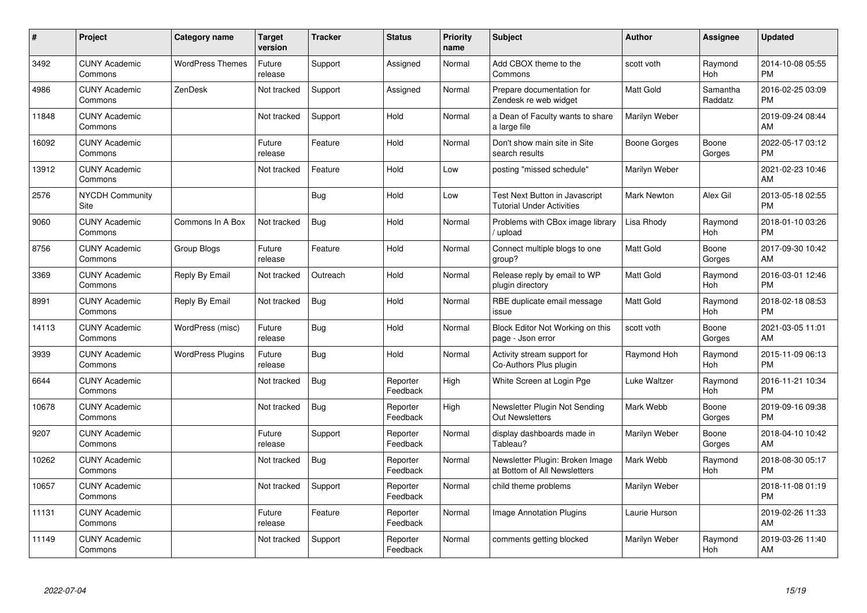| #     | <b>Project</b>                  | <b>Category name</b>     | <b>Target</b><br>version | <b>Tracker</b> | <b>Status</b>        | <b>Priority</b><br>name | <b>Subject</b>                                                     | Author             | Assignee            | <b>Updated</b>                |
|-------|---------------------------------|--------------------------|--------------------------|----------------|----------------------|-------------------------|--------------------------------------------------------------------|--------------------|---------------------|-------------------------------|
| 3492  | <b>CUNY Academic</b><br>Commons | <b>WordPress Themes</b>  | Future<br>release        | Support        | Assigned             | Normal                  | Add CBOX theme to the<br>Commons                                   | scott voth         | Raymond<br>Hoh      | 2014-10-08 05:55<br><b>PM</b> |
| 4986  | <b>CUNY Academic</b><br>Commons | ZenDesk                  | Not tracked              | Support        | Assigned             | Normal                  | Prepare documentation for<br>Zendesk re web widget                 | <b>Matt Gold</b>   | Samantha<br>Raddatz | 2016-02-25 03:09<br><b>PM</b> |
| 11848 | <b>CUNY Academic</b><br>Commons |                          | Not tracked              | Support        | Hold                 | Normal                  | a Dean of Faculty wants to share<br>a large file                   | Marilyn Weber      |                     | 2019-09-24 08:44<br>AM        |
| 16092 | <b>CUNY Academic</b><br>Commons |                          | Future<br>release        | Feature        | Hold                 | Normal                  | Don't show main site in Site<br>search results                     | Boone Gorges       | Boone<br>Gorges     | 2022-05-17 03:12<br><b>PM</b> |
| 13912 | <b>CUNY Academic</b><br>Commons |                          | Not tracked              | Feature        | Hold                 | Low                     | posting "missed schedule"                                          | Marilyn Weber      |                     | 2021-02-23 10:46<br>AM        |
| 2576  | <b>NYCDH Community</b><br>Site  |                          |                          | Bug            | Hold                 | Low                     | Test Next Button in Javascript<br><b>Tutorial Under Activities</b> | <b>Mark Newton</b> | Alex Gil            | 2013-05-18 02:55<br><b>PM</b> |
| 9060  | <b>CUNY Academic</b><br>Commons | Commons In A Box         | Not tracked              | Bug            | Hold                 | Normal                  | Problems with CBox image library<br>/ upload                       | Lisa Rhody         | Raymond<br>Hoh      | 2018-01-10 03:26<br><b>PM</b> |
| 8756  | <b>CUNY Academic</b><br>Commons | Group Blogs              | Future<br>release        | Feature        | Hold                 | Normal                  | Connect multiple blogs to one<br>group?                            | Matt Gold          | Boone<br>Gorges     | 2017-09-30 10:42<br>AM        |
| 3369  | <b>CUNY Academic</b><br>Commons | Reply By Email           | Not tracked              | Outreach       | Hold                 | Normal                  | Release reply by email to WP<br>plugin directory                   | <b>Matt Gold</b>   | Raymond<br>Hoh      | 2016-03-01 12:46<br><b>PM</b> |
| 8991  | <b>CUNY Academic</b><br>Commons | Reply By Email           | Not tracked              | <b>Bug</b>     | Hold                 | Normal                  | RBE duplicate email message<br>issue                               | <b>Matt Gold</b>   | Raymond<br>Hoh      | 2018-02-18 08:53<br><b>PM</b> |
| 14113 | <b>CUNY Academic</b><br>Commons | WordPress (misc)         | Future<br>release        | Bug            | Hold                 | Normal                  | Block Editor Not Working on this<br>page - Json error              | scott voth         | Boone<br>Gorges     | 2021-03-05 11:01<br>AM        |
| 3939  | <b>CUNY Academic</b><br>Commons | <b>WordPress Plugins</b> | Future<br>release        | Bug            | Hold                 | Normal                  | Activity stream support for<br>Co-Authors Plus plugin              | Raymond Hoh        | Raymond<br>Hoh      | 2015-11-09 06:13<br><b>PM</b> |
| 6644  | <b>CUNY Academic</b><br>Commons |                          | Not tracked              | Bug            | Reporter<br>Feedback | High                    | White Screen at Login Pge                                          | Luke Waltzer       | Raymond<br>Hoh      | 2016-11-21 10:34<br><b>PM</b> |
| 10678 | <b>CUNY Academic</b><br>Commons |                          | Not tracked              | Bug            | Reporter<br>Feedback | High                    | Newsletter Plugin Not Sending<br><b>Out Newsletters</b>            | Mark Webb          | Boone<br>Gorges     | 2019-09-16 09:38<br><b>PM</b> |
| 9207  | <b>CUNY Academic</b><br>Commons |                          | Future<br>release        | Support        | Reporter<br>Feedback | Normal                  | display dashboards made in<br>Tableau?                             | Marilyn Weber      | Boone<br>Gorges     | 2018-04-10 10:42<br>AM        |
| 10262 | <b>CUNY Academic</b><br>Commons |                          | Not tracked              | Bug            | Reporter<br>Feedback | Normal                  | Newsletter Plugin: Broken Image<br>at Bottom of All Newsletters    | Mark Webb          | Raymond<br>Hoh      | 2018-08-30 05:17<br><b>PM</b> |
| 10657 | <b>CUNY Academic</b><br>Commons |                          | Not tracked              | Support        | Reporter<br>Feedback | Normal                  | child theme problems                                               | Marilyn Weber      |                     | 2018-11-08 01:19<br><b>PM</b> |
| 11131 | <b>CUNY Academic</b><br>Commons |                          | Future<br>release        | Feature        | Reporter<br>Feedback | Normal                  | Image Annotation Plugins                                           | Laurie Hurson      |                     | 2019-02-26 11:33<br>AM        |
| 11149 | <b>CUNY Academic</b><br>Commons |                          | Not tracked              | Support        | Reporter<br>Feedback | Normal                  | comments getting blocked                                           | Marilyn Weber      | Raymond<br>Hoh      | 2019-03-26 11:40<br>AM        |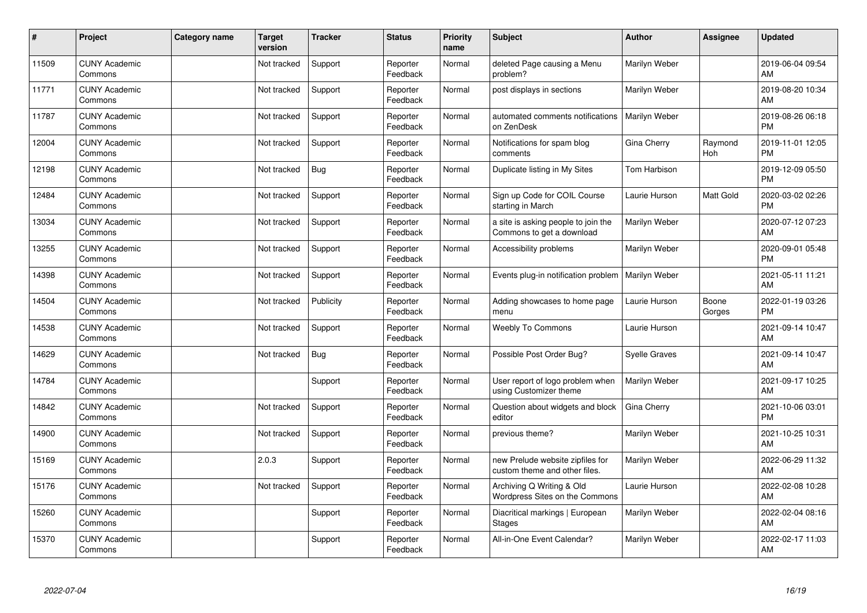| #     | Project                         | Category name | <b>Target</b><br>version | <b>Tracker</b> | <b>Status</b>        | <b>Priority</b><br>name | <b>Subject</b>                                                    | <b>Author</b> | <b>Assignee</b> | <b>Updated</b>                |
|-------|---------------------------------|---------------|--------------------------|----------------|----------------------|-------------------------|-------------------------------------------------------------------|---------------|-----------------|-------------------------------|
| 11509 | <b>CUNY Academic</b><br>Commons |               | Not tracked              | Support        | Reporter<br>Feedback | Normal                  | deleted Page causing a Menu<br>problem?                           | Marilyn Weber |                 | 2019-06-04 09:54<br>AM        |
| 11771 | <b>CUNY Academic</b><br>Commons |               | Not tracked              | Support        | Reporter<br>Feedback | Normal                  | post displays in sections                                         | Marilyn Weber |                 | 2019-08-20 10:34<br>AM        |
| 11787 | <b>CUNY Academic</b><br>Commons |               | Not tracked              | Support        | Reporter<br>Feedback | Normal                  | automated comments notifications<br>on ZenDesk                    | Marilyn Weber |                 | 2019-08-26 06:18<br><b>PM</b> |
| 12004 | <b>CUNY Academic</b><br>Commons |               | Not tracked              | Support        | Reporter<br>Feedback | Normal                  | Notifications for spam blog<br>comments                           | Gina Cherry   | Raymond<br>Hoh  | 2019-11-01 12:05<br><b>PM</b> |
| 12198 | <b>CUNY Academic</b><br>Commons |               | Not tracked              | <b>Bug</b>     | Reporter<br>Feedback | Normal                  | Duplicate listing in My Sites                                     | Tom Harbison  |                 | 2019-12-09 05:50<br><b>PM</b> |
| 12484 | <b>CUNY Academic</b><br>Commons |               | Not tracked              | Support        | Reporter<br>Feedback | Normal                  | Sign up Code for COIL Course<br>starting in March                 | Laurie Hurson | Matt Gold       | 2020-03-02 02:26<br><b>PM</b> |
| 13034 | <b>CUNY Academic</b><br>Commons |               | Not tracked              | Support        | Reporter<br>Feedback | Normal                  | a site is asking people to join the<br>Commons to get a download  | Marilyn Weber |                 | 2020-07-12 07:23<br>AM        |
| 13255 | <b>CUNY Academic</b><br>Commons |               | Not tracked              | Support        | Reporter<br>Feedback | Normal                  | Accessibility problems                                            | Marilyn Weber |                 | 2020-09-01 05:48<br><b>PM</b> |
| 14398 | <b>CUNY Academic</b><br>Commons |               | Not tracked              | Support        | Reporter<br>Feedback | Normal                  | Events plug-in notification problem                               | Marilyn Weber |                 | 2021-05-11 11:21<br>AM        |
| 14504 | <b>CUNY Academic</b><br>Commons |               | Not tracked              | Publicity      | Reporter<br>Feedback | Normal                  | Adding showcases to home page<br>menu                             | Laurie Hurson | Boone<br>Gorges | 2022-01-19 03:26<br>PM        |
| 14538 | <b>CUNY Academic</b><br>Commons |               | Not tracked              | Support        | Reporter<br>Feedback | Normal                  | <b>Weebly To Commons</b>                                          | Laurie Hurson |                 | 2021-09-14 10:47<br>AM        |
| 14629 | <b>CUNY Academic</b><br>Commons |               | Not tracked              | Bug            | Reporter<br>Feedback | Normal                  | Possible Post Order Bug?                                          | Syelle Graves |                 | 2021-09-14 10:47<br>AM        |
| 14784 | <b>CUNY Academic</b><br>Commons |               |                          | Support        | Reporter<br>Feedback | Normal                  | User report of logo problem when<br>using Customizer theme        | Marilyn Weber |                 | 2021-09-17 10:25<br>AM        |
| 14842 | <b>CUNY Academic</b><br>Commons |               | Not tracked              | Support        | Reporter<br>Feedback | Normal                  | Question about widgets and block<br>editor                        | Gina Cherry   |                 | 2021-10-06 03:01<br><b>PM</b> |
| 14900 | <b>CUNY Academic</b><br>Commons |               | Not tracked              | Support        | Reporter<br>Feedback | Normal                  | previous theme?                                                   | Marilyn Weber |                 | 2021-10-25 10:31<br>AM        |
| 15169 | <b>CUNY Academic</b><br>Commons |               | 2.0.3                    | Support        | Reporter<br>Feedback | Normal                  | new Prelude website zipfiles for<br>custom theme and other files. | Marilyn Weber |                 | 2022-06-29 11:32<br>AM        |
| 15176 | <b>CUNY Academic</b><br>Commons |               | Not tracked              | Support        | Reporter<br>Feedback | Normal                  | Archiving Q Writing & Old<br>Wordpress Sites on the Commons       | Laurie Hurson |                 | 2022-02-08 10:28<br><b>AM</b> |
| 15260 | <b>CUNY Academic</b><br>Commons |               |                          | Support        | Reporter<br>Feedback | Normal                  | Diacritical markings   European<br><b>Stages</b>                  | Marilyn Weber |                 | 2022-02-04 08:16<br>AM        |
| 15370 | <b>CUNY Academic</b><br>Commons |               |                          | Support        | Reporter<br>Feedback | Normal                  | All-in-One Event Calendar?                                        | Marilyn Weber |                 | 2022-02-17 11:03<br>AM        |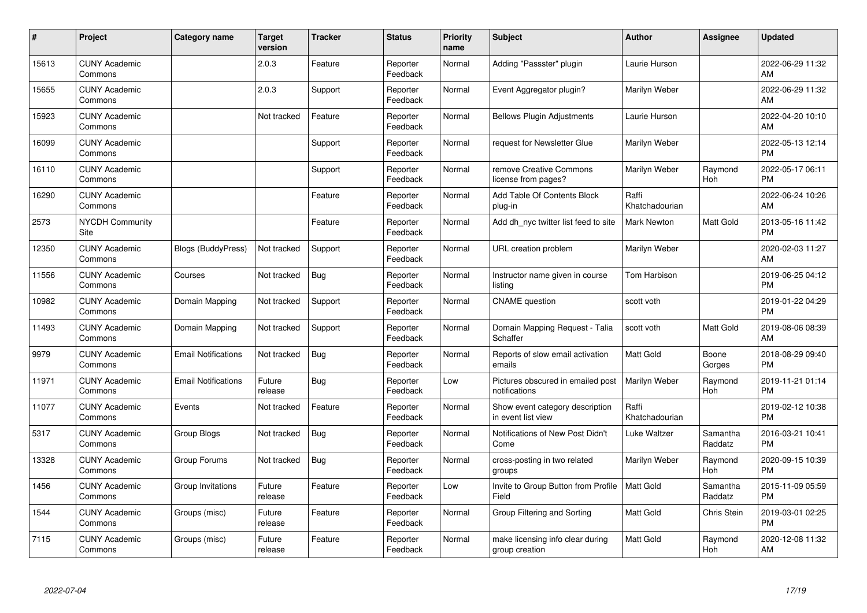| #     | Project                         | <b>Category name</b>       | <b>Target</b><br>version | <b>Tracker</b> | <b>Status</b>        | <b>Priority</b><br>name | <b>Subject</b>                                        | <b>Author</b>           | <b>Assignee</b>     | <b>Updated</b>                |
|-------|---------------------------------|----------------------------|--------------------------|----------------|----------------------|-------------------------|-------------------------------------------------------|-------------------------|---------------------|-------------------------------|
| 15613 | <b>CUNY Academic</b><br>Commons |                            | 2.0.3                    | Feature        | Reporter<br>Feedback | Normal                  | Adding "Passster" plugin                              | Laurie Hurson           |                     | 2022-06-29 11:32<br>AM        |
| 15655 | <b>CUNY Academic</b><br>Commons |                            | 2.0.3                    | Support        | Reporter<br>Feedback | Normal                  | Event Aggregator plugin?                              | Marilyn Weber           |                     | 2022-06-29 11:32<br>AM        |
| 15923 | <b>CUNY Academic</b><br>Commons |                            | Not tracked              | Feature        | Reporter<br>Feedback | Normal                  | <b>Bellows Plugin Adjustments</b>                     | Laurie Hurson           |                     | 2022-04-20 10:10<br>AM        |
| 16099 | <b>CUNY Academic</b><br>Commons |                            |                          | Support        | Reporter<br>Feedback | Normal                  | request for Newsletter Glue                           | Marilyn Weber           |                     | 2022-05-13 12:14<br><b>PM</b> |
| 16110 | <b>CUNY Academic</b><br>Commons |                            |                          | Support        | Reporter<br>Feedback | Normal                  | remove Creative Commons<br>license from pages?        | Marilyn Weber           | Raymond<br>Hoh      | 2022-05-17 06:11<br><b>PM</b> |
| 16290 | <b>CUNY Academic</b><br>Commons |                            |                          | Feature        | Reporter<br>Feedback | Normal                  | Add Table Of Contents Block<br>plug-in                | Raffi<br>Khatchadourian |                     | 2022-06-24 10:26<br><b>AM</b> |
| 2573  | <b>NYCDH Community</b><br>Site  |                            |                          | Feature        | Reporter<br>Feedback | Normal                  | Add dh nyc twitter list feed to site                  | Mark Newton             | Matt Gold           | 2013-05-16 11:42<br><b>PM</b> |
| 12350 | <b>CUNY Academic</b><br>Commons | <b>Blogs (BuddyPress)</b>  | Not tracked              | Support        | Reporter<br>Feedback | Normal                  | URL creation problem                                  | Marilyn Weber           |                     | 2020-02-03 11:27<br>AM        |
| 11556 | <b>CUNY Academic</b><br>Commons | Courses                    | Not tracked              | Bug            | Reporter<br>Feedback | Normal                  | Instructor name given in course<br>listing            | Tom Harbison            |                     | 2019-06-25 04:12<br><b>PM</b> |
| 10982 | <b>CUNY Academic</b><br>Commons | Domain Mapping             | Not tracked              | Support        | Reporter<br>Feedback | Normal                  | <b>CNAME</b> question                                 | scott voth              |                     | 2019-01-22 04:29<br><b>PM</b> |
| 11493 | <b>CUNY Academic</b><br>Commons | Domain Mapping             | Not tracked              | Support        | Reporter<br>Feedback | Normal                  | Domain Mapping Request - Talia<br>Schaffer            | scott voth              | Matt Gold           | 2019-08-06 08:39<br>AM        |
| 9979  | <b>CUNY Academic</b><br>Commons | <b>Email Notifications</b> | Not tracked              | Bug            | Reporter<br>Feedback | Normal                  | Reports of slow email activation<br>emails            | <b>Matt Gold</b>        | Boone<br>Gorges     | 2018-08-29 09:40<br><b>PM</b> |
| 11971 | <b>CUNY Academic</b><br>Commons | <b>Email Notifications</b> | Future<br>release        | <b>Bug</b>     | Reporter<br>Feedback | Low                     | Pictures obscured in emailed post<br>notifications    | Marilyn Weber           | Raymond<br>Hoh      | 2019-11-21 01:14<br><b>PM</b> |
| 11077 | <b>CUNY Academic</b><br>Commons | Events                     | Not tracked              | Feature        | Reporter<br>Feedback | Normal                  | Show event category description<br>in event list view | Raffi<br>Khatchadourian |                     | 2019-02-12 10:38<br><b>PM</b> |
| 5317  | <b>CUNY Academic</b><br>Commons | Group Blogs                | Not tracked              | <b>Bug</b>     | Reporter<br>Feedback | Normal                  | Notifications of New Post Didn't<br>Come              | Luke Waltzer            | Samantha<br>Raddatz | 2016-03-21 10:41<br><b>PM</b> |
| 13328 | <b>CUNY Academic</b><br>Commons | Group Forums               | Not tracked              | Bug            | Reporter<br>Feedback | Normal                  | cross-posting in two related<br>groups                | Marilyn Weber           | Raymond<br>Hoh      | 2020-09-15 10:39<br><b>PM</b> |
| 1456  | <b>CUNY Academic</b><br>Commons | Group Invitations          | Future<br>release        | Feature        | Reporter<br>Feedback | Low                     | Invite to Group Button from Profile<br>Field          | <b>Matt Gold</b>        | Samantha<br>Raddatz | 2015-11-09 05:59<br><b>PM</b> |
| 1544  | <b>CUNY Academic</b><br>Commons | Groups (misc)              | Future<br>release        | Feature        | Reporter<br>Feedback | Normal                  | Group Filtering and Sorting                           | <b>Matt Gold</b>        | Chris Stein         | 2019-03-01 02:25<br><b>PM</b> |
| 7115  | <b>CUNY Academic</b><br>Commons | Groups (misc)              | Future<br>release        | Feature        | Reporter<br>Feedback | Normal                  | make licensing info clear during<br>group creation    | <b>Matt Gold</b>        | Raymond<br>Hoh      | 2020-12-08 11:32<br>AM        |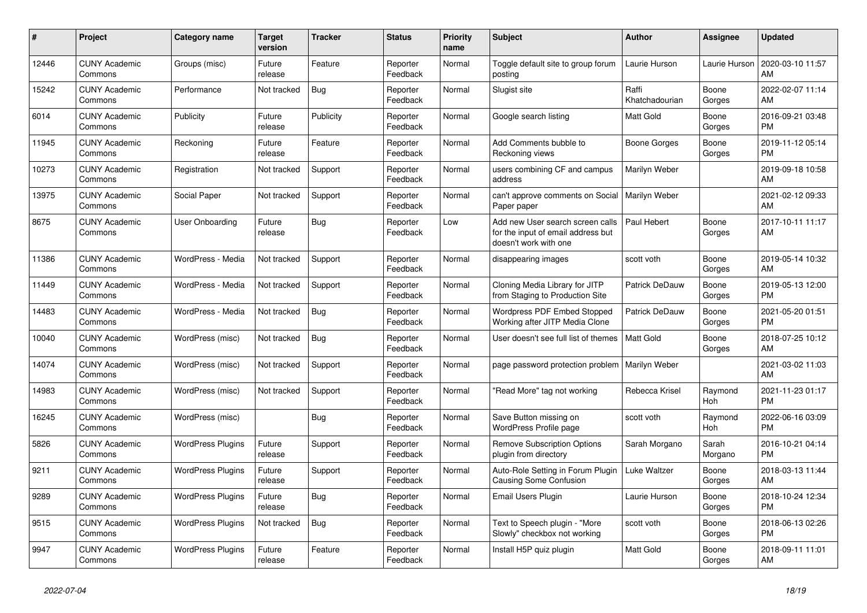| #     | <b>Project</b>                  | Category name            | Target<br>version | <b>Tracker</b> | <b>Status</b>        | Priority<br>name | <b>Subject</b>                                                                                  | <b>Author</b>           | Assignee         | <b>Updated</b>                |
|-------|---------------------------------|--------------------------|-------------------|----------------|----------------------|------------------|-------------------------------------------------------------------------------------------------|-------------------------|------------------|-------------------------------|
| 12446 | <b>CUNY Academic</b><br>Commons | Groups (misc)            | Future<br>release | Feature        | Reporter<br>Feedback | Normal           | Toggle default site to group forum<br>posting                                                   | Laurie Hurson           | Laurie Hurson    | 2020-03-10 11:57<br>AM        |
| 15242 | <b>CUNY Academic</b><br>Commons | Performance              | Not tracked       | Bug            | Reporter<br>Feedback | Normal           | Slugist site                                                                                    | Raffi<br>Khatchadourian | Boone<br>Gorges  | 2022-02-07 11:14<br>AM.       |
| 6014  | <b>CUNY Academic</b><br>Commons | Publicity                | Future<br>release | Publicity      | Reporter<br>Feedback | Normal           | Google search listing                                                                           | Matt Gold               | Boone<br>Gorges  | 2016-09-21 03:48<br><b>PM</b> |
| 11945 | <b>CUNY Academic</b><br>Commons | Reckoning                | Future<br>release | Feature        | Reporter<br>Feedback | Normal           | Add Comments bubble to<br>Reckoning views                                                       | Boone Gorges            | Boone<br>Gorges  | 2019-11-12 05:14<br><b>PM</b> |
| 10273 | <b>CUNY Academic</b><br>Commons | Registration             | Not tracked       | Support        | Reporter<br>Feedback | Normal           | users combining CF and campus<br>address                                                        | Marilyn Weber           |                  | 2019-09-18 10:58<br>AM.       |
| 13975 | <b>CUNY Academic</b><br>Commons | Social Paper             | Not tracked       | Support        | Reporter<br>Feedback | Normal           | can't approve comments on Social<br>Paper paper                                                 | Marilyn Weber           |                  | 2021-02-12 09:33<br>AM        |
| 8675  | <b>CUNY Academic</b><br>Commons | <b>User Onboarding</b>   | Future<br>release | Bug            | Reporter<br>Feedback | Low              | Add new User search screen calls<br>for the input of email address but<br>doesn't work with one | Paul Hebert             | Boone<br>Gorges  | 2017-10-11 11:17<br>AM        |
| 11386 | <b>CUNY Academic</b><br>Commons | WordPress - Media        | Not tracked       | Support        | Reporter<br>Feedback | Normal           | disappearing images                                                                             | scott voth              | Boone<br>Gorges  | 2019-05-14 10:32<br>AM        |
| 11449 | <b>CUNY Academic</b><br>Commons | WordPress - Media        | Not tracked       | Support        | Reporter<br>Feedback | Normal           | Cloning Media Library for JITP<br>from Staging to Production Site                               | Patrick DeDauw          | Boone<br>Gorges  | 2019-05-13 12:00<br><b>PM</b> |
| 14483 | <b>CUNY Academic</b><br>Commons | WordPress - Media        | Not tracked       | <b>Bug</b>     | Reporter<br>Feedback | Normal           | <b>Wordpress PDF Embed Stopped</b><br>Working after JITP Media Clone                            | Patrick DeDauw          | Boone<br>Gorges  | 2021-05-20 01:51<br><b>PM</b> |
| 10040 | <b>CUNY Academic</b><br>Commons | WordPress (misc)         | Not tracked       | Bug            | Reporter<br>Feedback | Normal           | User doesn't see full list of themes                                                            | <b>Matt Gold</b>        | Boone<br>Gorges  | 2018-07-25 10:12<br>AM        |
| 14074 | <b>CUNY Academic</b><br>Commons | WordPress (misc)         | Not tracked       | Support        | Reporter<br>Feedback | Normal           | page password protection problem   Marilyn Weber                                                |                         |                  | 2021-03-02 11:03<br>AM        |
| 14983 | <b>CUNY Academic</b><br>Commons | WordPress (misc)         | Not tracked       | Support        | Reporter<br>Feedback | Normal           | "Read More" tag not working                                                                     | Rebecca Krisel          | Raymond<br>Hoh   | 2021-11-23 01:17<br><b>PM</b> |
| 16245 | <b>CUNY Academic</b><br>Commons | WordPress (misc)         |                   | Bug            | Reporter<br>Feedback | Normal           | Save Button missing on<br><b>WordPress Profile page</b>                                         | scott voth              | Raymond<br>Hoh   | 2022-06-16 03:09<br><b>PM</b> |
| 5826  | <b>CUNY Academic</b><br>Commons | <b>WordPress Plugins</b> | Future<br>release | Support        | Reporter<br>Feedback | Normal           | <b>Remove Subscription Options</b><br>plugin from directory                                     | Sarah Morgano           | Sarah<br>Morgano | 2016-10-21 04:14<br><b>PM</b> |
| 9211  | <b>CUNY Academic</b><br>Commons | <b>WordPress Plugins</b> | Future<br>release | Support        | Reporter<br>Feedback | Normal           | Auto-Role Setting in Forum Plugin<br><b>Causing Some Confusion</b>                              | Luke Waltzer            | Boone<br>Gorges  | 2018-03-13 11:44<br>AM        |
| 9289  | <b>CUNY Academic</b><br>Commons | <b>WordPress Plugins</b> | Future<br>release | Bug            | Reporter<br>Feedback | Normal           | Email Users Plugin                                                                              | Laurie Hurson           | Boone<br>Gorges  | 2018-10-24 12:34<br><b>PM</b> |
| 9515  | <b>CUNY Academic</b><br>Commons | <b>WordPress Plugins</b> | Not tracked       | Bug            | Reporter<br>Feedback | Normal           | Text to Speech plugin - "More<br>Slowly" checkbox not working                                   | scott voth              | Boone<br>Gorges  | 2018-06-13 02:26<br><b>PM</b> |
| 9947  | <b>CUNY Academic</b><br>Commons | <b>WordPress Plugins</b> | Future<br>release | Feature        | Reporter<br>Feedback | Normal           | Install H5P quiz plugin                                                                         | <b>Matt Gold</b>        | Boone<br>Gorges  | 2018-09-11 11:01<br>AM        |